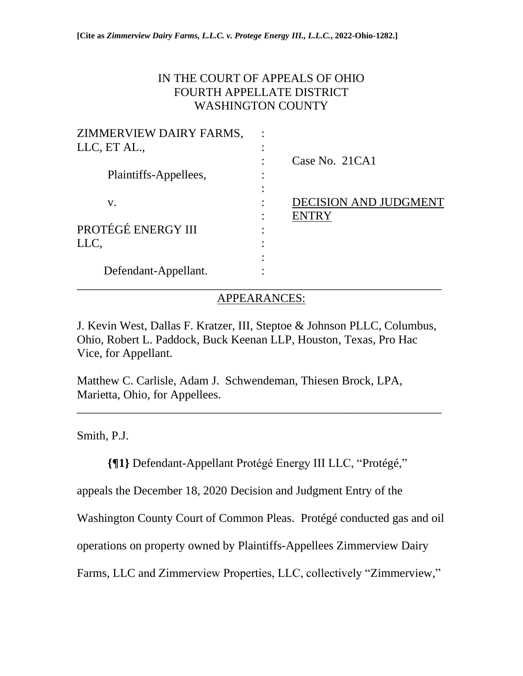# IN THE COURT OF APPEALS OF OHIO FOURTH APPELLATE DISTRICT WASHINGTON COUNTY

| ZIMMERVIEW DAIRY FARMS, |                       |
|-------------------------|-----------------------|
| LLC, ET AL.,            |                       |
|                         | Case No. 21CA1        |
| Plaintiffs-Appellees,   |                       |
|                         |                       |
| V.                      | DECISION AND JUDGMENT |
|                         | <b>ENTRY</b>          |
| PROTÉGÉ ENERGY III      |                       |
| LLC,                    |                       |
|                         |                       |
| Defendant-Appellant.    |                       |
|                         |                       |

## APPEARANCES:

J. Kevin West, Dallas F. Kratzer, III, Steptoe & Johnson PLLC, Columbus, Ohio, Robert L. Paddock, Buck Keenan LLP, Houston, Texas, Pro Hac Vice, for Appellant.

Matthew C. Carlisle, Adam J. Schwendeman, Thiesen Brock, LPA, Marietta, Ohio, for Appellees.

Smith, P.J.

**{¶1}** Defendant-Appellant Protégé Energy III LLC, "Protégé,"

\_\_\_\_\_\_\_\_\_\_\_\_\_\_\_\_\_\_\_\_\_\_\_\_\_\_\_\_\_\_\_\_\_\_\_\_\_\_\_\_\_\_\_\_\_\_\_\_\_\_\_\_\_\_\_\_\_\_\_\_\_

appeals the December 18, 2020 Decision and Judgment Entry of the

Washington County Court of Common Pleas. Protégé conducted gas and oil

operations on property owned by Plaintiffs-Appellees Zimmerview Dairy

Farms, LLC and Zimmerview Properties, LLC, collectively "Zimmerview,"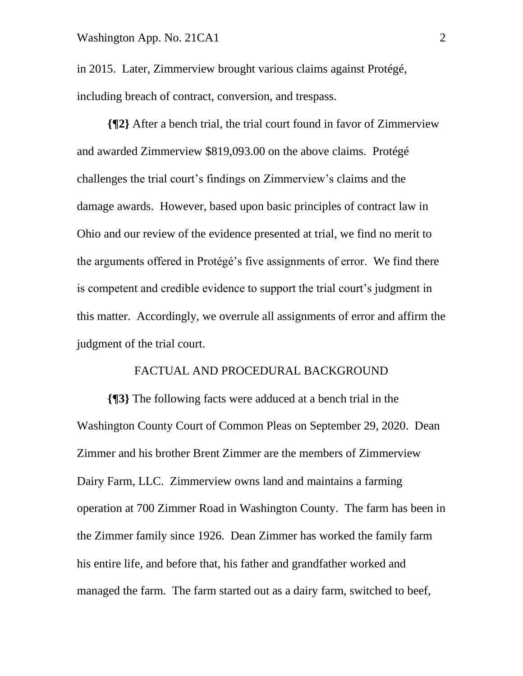in 2015. Later, Zimmerview brought various claims against Protégé, including breach of contract, conversion, and trespass.

**{¶2}** After a bench trial, the trial court found in favor of Zimmerview and awarded Zimmerview \$819,093.00 on the above claims. Protégé challenges the trial court's findings on Zimmerview's claims and the damage awards. However, based upon basic principles of contract law in Ohio and our review of the evidence presented at trial, we find no merit to the arguments offered in Protégé's five assignments of error. We find there is competent and credible evidence to support the trial court's judgment in this matter. Accordingly, we overrule all assignments of error and affirm the judgment of the trial court.

### FACTUAL AND PROCEDURAL BACKGROUND

**{¶3}** The following facts were adduced at a bench trial in the Washington County Court of Common Pleas on September 29, 2020. Dean Zimmer and his brother Brent Zimmer are the members of Zimmerview Dairy Farm, LLC. Zimmerview owns land and maintains a farming operation at 700 Zimmer Road in Washington County. The farm has been in the Zimmer family since 1926. Dean Zimmer has worked the family farm his entire life, and before that, his father and grandfather worked and managed the farm. The farm started out as a dairy farm, switched to beef,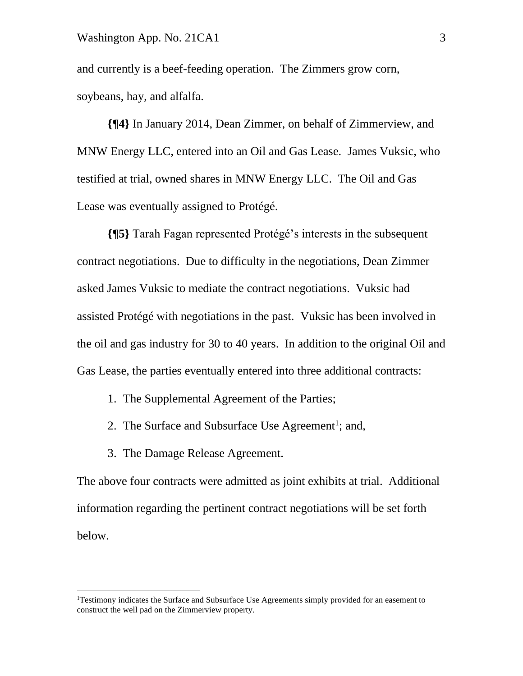#### Washington App. No. 21CA1 3

and currently is a beef-feeding operation. The Zimmers grow corn, soybeans, hay, and alfalfa.

**{¶4}** In January 2014, Dean Zimmer, on behalf of Zimmerview, and MNW Energy LLC, entered into an Oil and Gas Lease. James Vuksic, who testified at trial, owned shares in MNW Energy LLC. The Oil and Gas Lease was eventually assigned to Protégé.

**{¶5}** Tarah Fagan represented Protégé's interests in the subsequent contract negotiations. Due to difficulty in the negotiations, Dean Zimmer asked James Vuksic to mediate the contract negotiations. Vuksic had assisted Protégé with negotiations in the past. Vuksic has been involved in the oil and gas industry for 30 to 40 years. In addition to the original Oil and Gas Lease, the parties eventually entered into three additional contracts:

- 1. The Supplemental Agreement of the Parties;
- 2. The Surface and Subsurface Use Agreement<sup>1</sup>; and,
- 3. The Damage Release Agreement.

The above four contracts were admitted as joint exhibits at trial. Additional information regarding the pertinent contract negotiations will be set forth below.

<sup>&</sup>lt;sup>1</sup>Testimony indicates the Surface and Subsurface Use Agreements simply provided for an easement to construct the well pad on the Zimmerview property.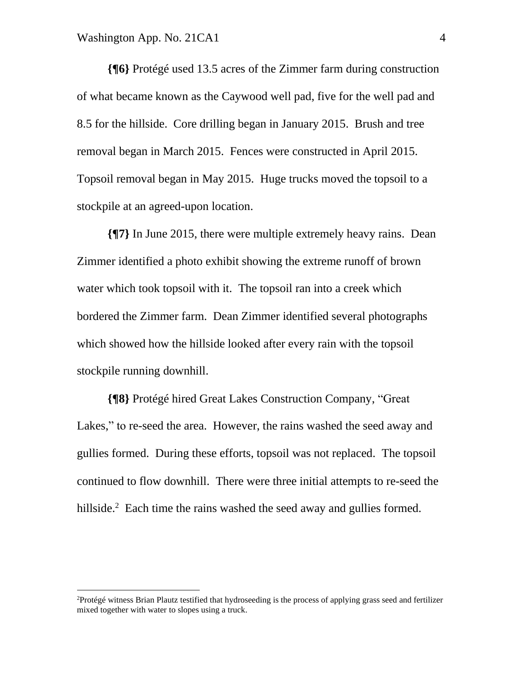**{¶6}** Protégé used 13.5 acres of the Zimmer farm during construction of what became known as the Caywood well pad, five for the well pad and 8.5 for the hillside. Core drilling began in January 2015. Brush and tree removal began in March 2015. Fences were constructed in April 2015. Topsoil removal began in May 2015. Huge trucks moved the topsoil to a stockpile at an agreed-upon location.

**{¶7}** In June 2015, there were multiple extremely heavy rains. Dean Zimmer identified a photo exhibit showing the extreme runoff of brown water which took topsoil with it. The topsoil ran into a creek which bordered the Zimmer farm. Dean Zimmer identified several photographs which showed how the hillside looked after every rain with the topsoil stockpile running downhill.

**{¶8}** Protégé hired Great Lakes Construction Company, "Great Lakes," to re-seed the area. However, the rains washed the seed away and gullies formed. During these efforts, topsoil was not replaced. The topsoil continued to flow downhill. There were three initial attempts to re-seed the hillside. $2$  Each time the rains washed the seed away and gullies formed.

<sup>&</sup>lt;sup>2</sup>Protégé witness Brian Plautz testified that hydroseeding is the process of applying grass seed and fertilizer mixed together with water to slopes using a truck.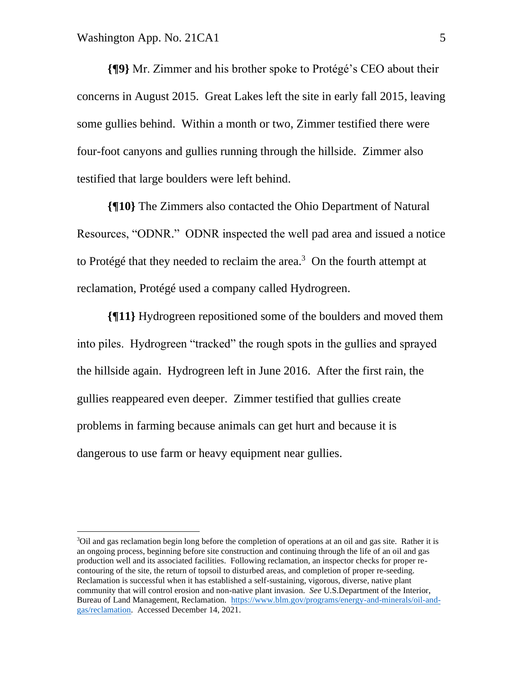**{¶9}** Mr. Zimmer and his brother spoke to Protégé's CEO about their concerns in August 2015. Great Lakes left the site in early fall 2015, leaving some gullies behind. Within a month or two, Zimmer testified there were four-foot canyons and gullies running through the hillside. Zimmer also testified that large boulders were left behind.

**{¶10}** The Zimmers also contacted the Ohio Department of Natural Resources, "ODNR." ODNR inspected the well pad area and issued a notice to Protégé that they needed to reclaim the area.<sup>3</sup> On the fourth attempt at reclamation, Protégé used a company called Hydrogreen.

**{¶11}** Hydrogreen repositioned some of the boulders and moved them into piles. Hydrogreen "tracked" the rough spots in the gullies and sprayed the hillside again. Hydrogreen left in June 2016. After the first rain, the gullies reappeared even deeper. Zimmer testified that gullies create problems in farming because animals can get hurt and because it is dangerous to use farm or heavy equipment near gullies.

<sup>&</sup>lt;sup>3</sup>Oil and gas reclamation begin long before the completion of operations at an oil and gas site. Rather it is an ongoing process, beginning before site construction and continuing through the life of an oil and gas production well and its associated facilities. Following reclamation, an inspector checks for proper recontouring of the site, the return of topsoil to disturbed areas, and completion of proper re-seeding. Reclamation is successful when it has established a self-sustaining, vigorous, diverse, native plant community that will control erosion and non-native plant invasion. *See* U.S.Department of the Interior, Bureau of Land Management, Reclamation. [https://www.blm.gov/programs/energy-and-minerals/oil-and](https://www.blm.gov/programs/energy-and-minerals/oil-and-gas/reclamation)[gas/reclamation.](https://www.blm.gov/programs/energy-and-minerals/oil-and-gas/reclamation) Accessed December 14, 2021.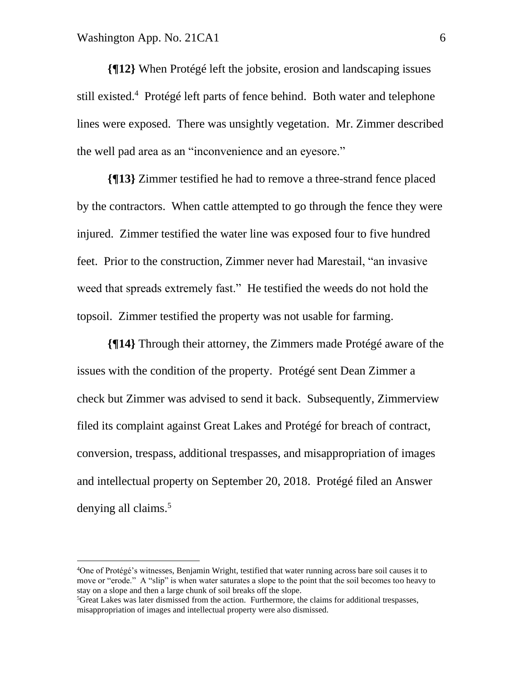**{¶12}** When Protégé left the jobsite, erosion and landscaping issues still existed.<sup>4</sup> Protégé left parts of fence behind. Both water and telephone lines were exposed. There was unsightly vegetation. Mr. Zimmer described the well pad area as an "inconvenience and an eyesore."

**{¶13}** Zimmer testified he had to remove a three-strand fence placed by the contractors. When cattle attempted to go through the fence they were injured. Zimmer testified the water line was exposed four to five hundred feet. Prior to the construction, Zimmer never had Marestail, "an invasive weed that spreads extremely fast." He testified the weeds do not hold the topsoil. Zimmer testified the property was not usable for farming.

**{¶14}** Through their attorney, the Zimmers made Protégé aware of the issues with the condition of the property. Protégé sent Dean Zimmer a check but Zimmer was advised to send it back. Subsequently, Zimmerview filed its complaint against Great Lakes and Protégé for breach of contract, conversion, trespass, additional trespasses, and misappropriation of images and intellectual property on September 20, 2018. Protégé filed an Answer denying all claims.<sup>5</sup>

<sup>4</sup>One of Protégé's witnesses, Benjamin Wright, testified that water running across bare soil causes it to move or "erode." A "slip" is when water saturates a slope to the point that the soil becomes too heavy to stay on a slope and then a large chunk of soil breaks off the slope.

<sup>5</sup>Great Lakes was later dismissed from the action. Furthermore, the claims for additional trespasses, misappropriation of images and intellectual property were also dismissed.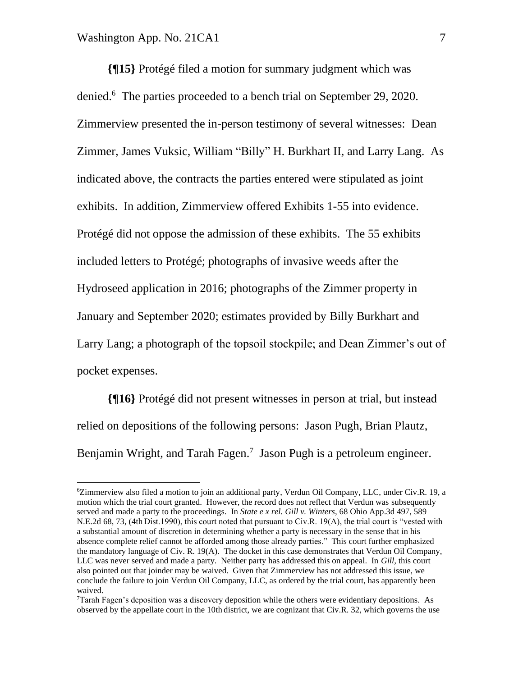**{¶15}** Protégé filed a motion for summary judgment which was denied.<sup>6</sup> The parties proceeded to a bench trial on September 29, 2020. Zimmerview presented the in-person testimony of several witnesses: Dean Zimmer, James Vuksic, William "Billy" H. Burkhart II, and Larry Lang. As indicated above, the contracts the parties entered were stipulated as joint exhibits. In addition, Zimmerview offered Exhibits 1-55 into evidence. Protégé did not oppose the admission of these exhibits. The 55 exhibits included letters to Protégé; photographs of invasive weeds after the Hydroseed application in 2016; photographs of the Zimmer property in January and September 2020; estimates provided by Billy Burkhart and Larry Lang; a photograph of the topsoil stockpile; and Dean Zimmer's out of pocket expenses.

**{¶16}** Protégé did not present witnesses in person at trial, but instead relied on depositions of the following persons: Jason Pugh, Brian Plautz, Benjamin Wright, and Tarah Fagen.<sup>7</sup> Jason Pugh is a petroleum engineer.

<sup>6</sup>Zimmerview also filed a motion to join an additional party, Verdun Oil Company, LLC, under Civ.R. 19, a motion which the trial court granted. However, the record does not reflect that Verdun was subsequently served and made a party to the proceedings. In *State e x rel. Gill v. Winters*, 68 Ohio App.3d 497, 589 N.E.2d 68, 73, (4th Dist.1990), this court noted that pursuant to Civ.R. 19(A), the trial court is "vested with a substantial amount of discretion in determining whether a party is necessary in the sense that in his absence complete relief cannot be afforded among those already parties." This court further emphasized the mandatory language of Civ. R. 19(A). The docket in this case demonstrates that Verdun Oil Company, LLC was never served and made a party. Neither party has addressed this on appeal. In *Gill,* this court also pointed out that joinder may be waived. Given that Zimmerview has not addressed this issue, we conclude the failure to join Verdun Oil Company, LLC, as ordered by the trial court, has apparently been waived.

 $7$ Tarah Fagen's deposition was a discovery deposition while the others were evidentiary depositions. As observed by the appellate court in the 10th district, we are cognizant that Civ.R. 32, which governs the use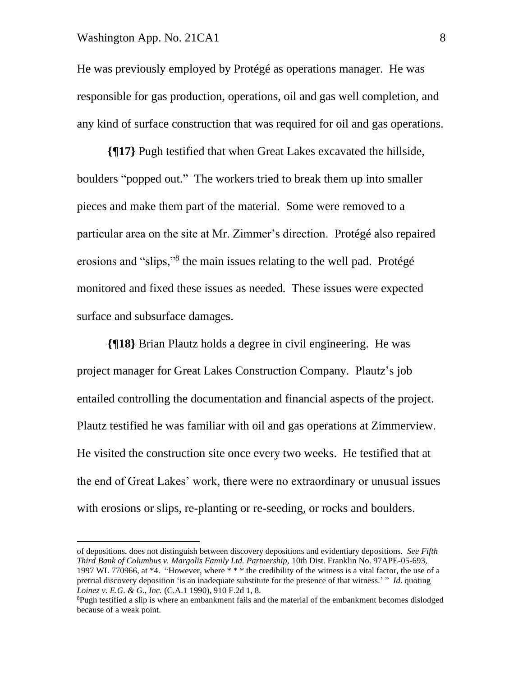#### Washington App. No. 21CA1 8

He was previously employed by Protégé as operations manager. He was responsible for gas production, operations, oil and gas well completion, and any kind of surface construction that was required for oil and gas operations.

**{¶17}** Pugh testified that when Great Lakes excavated the hillside, boulders "popped out." The workers tried to break them up into smaller pieces and make them part of the material. Some were removed to a particular area on the site at Mr. Zimmer's direction. Protégé also repaired erosions and "slips,"<sup>8</sup> the main issues relating to the well pad. Protégé monitored and fixed these issues as needed. These issues were expected surface and subsurface damages.

**{¶18}** Brian Plautz holds a degree in civil engineering. He was project manager for Great Lakes Construction Company. Plautz's job entailed controlling the documentation and financial aspects of the project. Plautz testified he was familiar with oil and gas operations at Zimmerview. He visited the construction site once every two weeks. He testified that at the end of Great Lakes' work, there were no extraordinary or unusual issues with erosions or slips, re-planting or re-seeding, or rocks and boulders.

of depositions, does not distinguish between discovery depositions and evidentiary depositions. *See Fifth Third Bank of Columbus v. Margolis Family Ltd. Partnership,* 10th Dist. Franklin No. 97APE-05-693, 1997 WL 770966, at \*4. "However, where \* \* \* the credibility of the witness is a vital factor, the use of a pretrial discovery deposition 'is an inadequate substitute for the presence of that witness.' " *Id*. quoting *Loinez v. E.G. & G., Inc.* (C.A.1 1990), 910 F.2d 1, 8.

<sup>&</sup>lt;sup>8</sup>Pugh testified a slip is where an embankment fails and the material of the embankment becomes dislodged because of a weak point.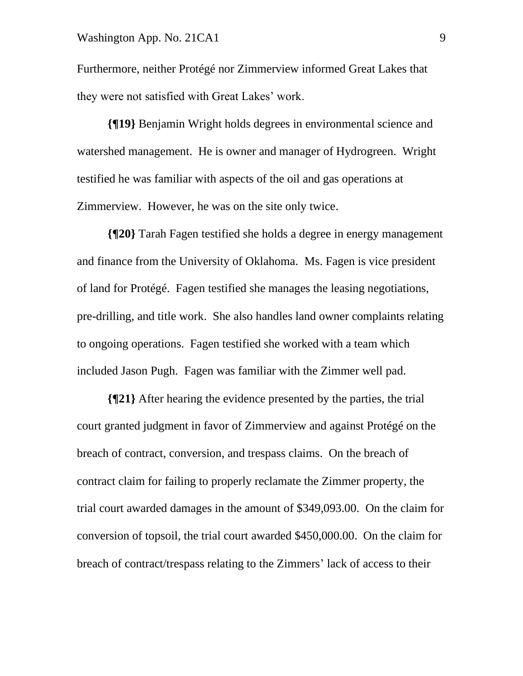#### Washington App. No. 21CA1 9

Furthermore, neither Protégé nor Zimmerview informed Great Lakes that they were not satisfied with Great Lakes' work.

**{¶19}** Benjamin Wright holds degrees in environmental science and watershed management. He is owner and manager of Hydrogreen. Wright testified he was familiar with aspects of the oil and gas operations at Zimmerview. However, he was on the site only twice.

**{¶20}** Tarah Fagen testified she holds a degree in energy management and finance from the University of Oklahoma. Ms. Fagen is vice president of land for Protégé. Fagen testified she manages the leasing negotiations, pre-drilling, and title work. She also handles land owner complaints relating to ongoing operations. Fagen testified she worked with a team which included Jason Pugh. Fagen was familiar with the Zimmer well pad.

**{¶21}** After hearing the evidence presented by the parties, the trial court granted judgment in favor of Zimmerview and against Protégé on the breach of contract, conversion, and trespass claims. On the breach of contract claim for failing to properly reclamate the Zimmer property, the trial court awarded damages in the amount of \$349,093.00. On the claim for conversion of topsoil, the trial court awarded \$450,000.00. On the claim for breach of contract/trespass relating to the Zimmers' lack of access to their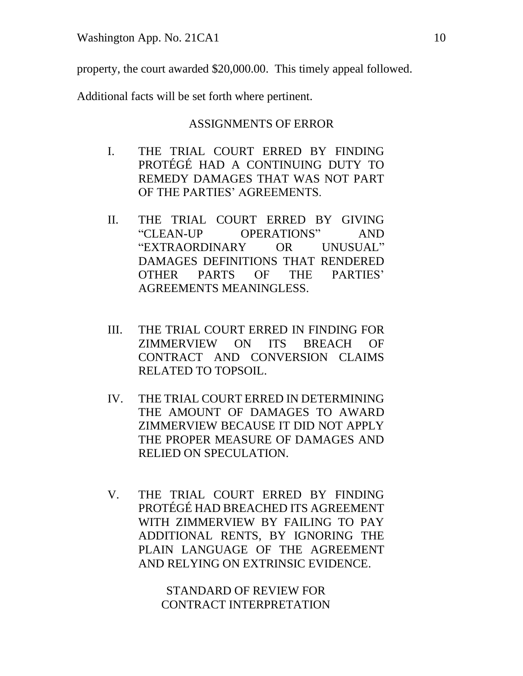property, the court awarded \$20,000.00. This timely appeal followed.

Additional facts will be set forth where pertinent.

### ASSIGNMENTS OF ERROR

- I. THE TRIAL COURT ERRED BY FINDING PROTÉGÉ HAD A CONTINUING DUTY TO REMEDY DAMAGES THAT WAS NOT PART OF THE PARTIES' AGREEMENTS.
- II. THE TRIAL COURT ERRED BY GIVING "CLEAN-UP OPERATIONS" AND "EXTRAORDINARY OR UNUSUAL" DAMAGES DEFINITIONS THAT RENDERED OTHER PARTS OF THE PARTIES' AGREEMENTS MEANINGLESS.
- III. THE TRIAL COURT ERRED IN FINDING FOR ZIMMERVIEW ON ITS BREACH OF CONTRACT AND CONVERSION CLAIMS RELATED TO TOPSOIL.
- IV. THE TRIAL COURT ERRED IN DETERMINING THE AMOUNT OF DAMAGES TO AWARD ZIMMERVIEW BECAUSE IT DID NOT APPLY THE PROPER MEASURE OF DAMAGES AND RELIED ON SPECULATION.
- V. THE TRIAL COURT ERRED BY FINDING PROTÉGÉ HAD BREACHED ITS AGREEMENT WITH ZIMMERVIEW BY FAILING TO PAY ADDITIONAL RENTS, BY IGNORING THE PLAIN LANGUAGE OF THE AGREEMENT AND RELYING ON EXTRINSIC EVIDENCE.

STANDARD OF REVIEW FOR CONTRACT INTERPRETATION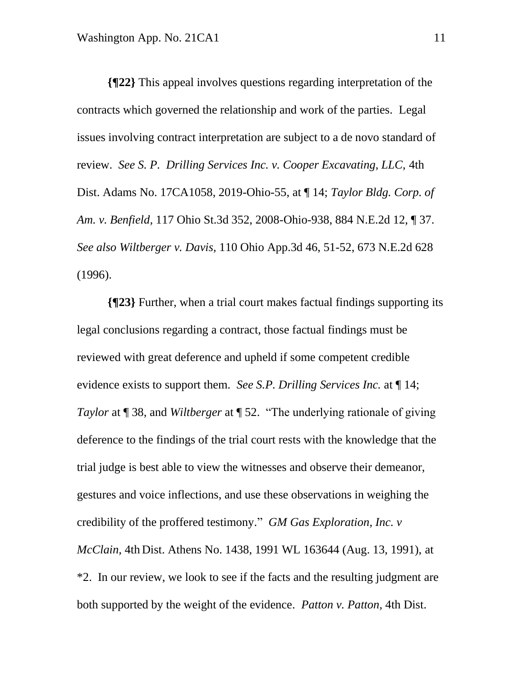**{¶22}** This appeal involves questions regarding interpretation of the contracts which governed the relationship and work of the parties. Legal issues involving contract interpretation are subject to a de novo standard of review. *See S. P. Drilling Services Inc. v. Cooper Excavating, LLC,* 4th Dist. Adams No. 17CA1058, 2019-Ohio-55, at ¶ 14; *Taylor Bldg. Corp. of Am. v. Benfield,* 117 Ohio St.3d 352, 2008-Ohio-938, 884 N.E.2d 12, ¶ 37. *See also Wiltberger v. Davis,* 110 Ohio App.3d 46, 51-52, 673 N.E.2d 628 (1996).

**{¶23}** Further, when a trial court makes factual findings supporting its legal conclusions regarding a contract, those factual findings must be reviewed with great deference and upheld if some competent credible evidence exists to support them. *See S.P. Drilling Services Inc.* at ¶ 14; *Taylor* at ¶ 38, and *Wiltberger* at ¶ 52. "The underlying rationale of giving deference to the findings of the trial court rests with the knowledge that the trial judge is best able to view the witnesses and observe their demeanor, gestures and voice inflections, and use these observations in weighing the credibility of the proffered testimony." *GM Gas Exploration, Inc. v McClain,* 4th Dist. Athens No. 1438, 1991 WL 163644 (Aug. 13, 1991), at \*2. In our review, we look to see if the facts and the resulting judgment are both supported by the weight of the evidence. *Patton v. Patton,* 4th Dist.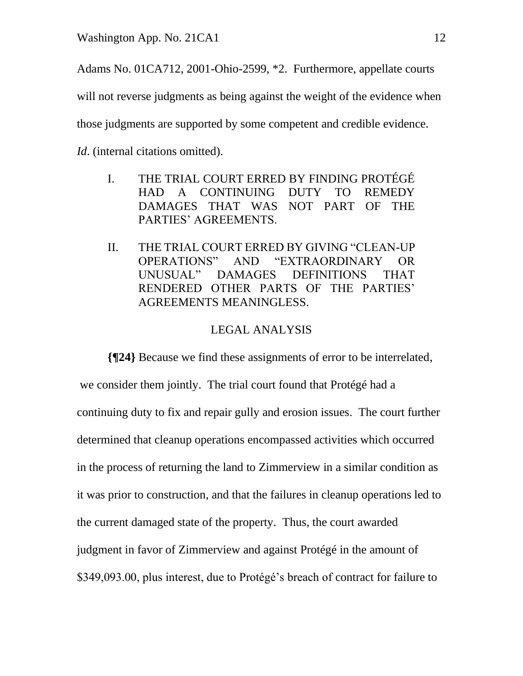Adams No. 01CA712, 2001-Ohio-2599, \*2. Furthermore, appellate courts will not reverse judgments as being against the weight of the evidence when those judgments are supported by some competent and credible evidence.

*Id.* (internal citations omitted).

- I. THE TRIAL COURT ERRED BY FINDING PROTÉGÉ HAD A CONTINUING DUTY TO REMEDY DAMAGES THAT WAS NOT PART OF THE PARTIES' AGREEMENTS.
- II. THE TRIAL COURT ERRED BY GIVING "CLEAN-UP OPERATIONS" AND "EXTRAORDINARY OR UNUSUAL" DAMAGES DEFINITIONS THAT RENDERED OTHER PARTS OF THE PARTIES' AGREEMENTS MEANINGLESS.

# LEGAL ANALYSIS

**{¶24}** Because we find these assignments of error to be interrelated, we consider them jointly. The trial court found that Protégé had a continuing duty to fix and repair gully and erosion issues. The court further determined that cleanup operations encompassed activities which occurred in the process of returning the land to Zimmerview in a similar condition as it was prior to construction, and that the failures in cleanup operations led to the current damaged state of the property. Thus, the court awarded judgment in favor of Zimmerview and against Protégé in the amount of \$349,093.00, plus interest, due to Protégé's breach of contract for failure to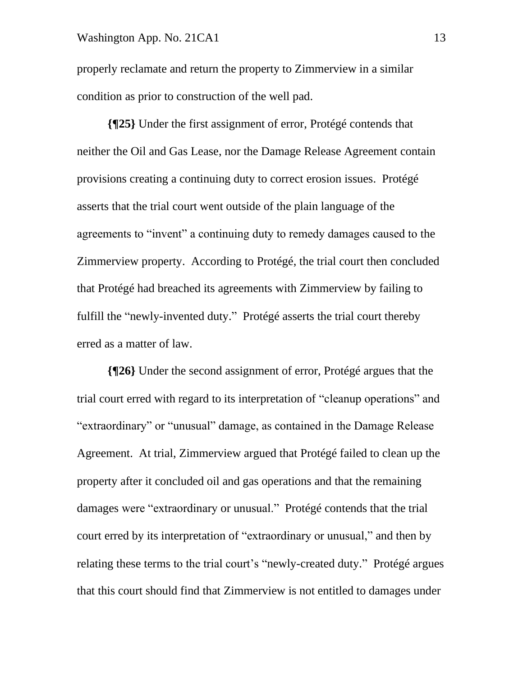#### Washington App. No. 21CA1 13

properly reclamate and return the property to Zimmerview in a similar condition as prior to construction of the well pad.

**{¶25}** Under the first assignment of error, Protégé contends that neither the Oil and Gas Lease, nor the Damage Release Agreement contain provisions creating a continuing duty to correct erosion issues. Protégé asserts that the trial court went outside of the plain language of the agreements to "invent" a continuing duty to remedy damages caused to the Zimmerview property. According to Protégé, the trial court then concluded that Protégé had breached its agreements with Zimmerview by failing to fulfill the "newly-invented duty." Protégé asserts the trial court thereby erred as a matter of law.

**{¶26}** Under the second assignment of error, Protégé argues that the trial court erred with regard to its interpretation of "cleanup operations" and "extraordinary" or "unusual" damage, as contained in the Damage Release Agreement. At trial, Zimmerview argued that Protégé failed to clean up the property after it concluded oil and gas operations and that the remaining damages were "extraordinary or unusual." Protégé contends that the trial court erred by its interpretation of "extraordinary or unusual," and then by relating these terms to the trial court's "newly-created duty." Protégé argues that this court should find that Zimmerview is not entitled to damages under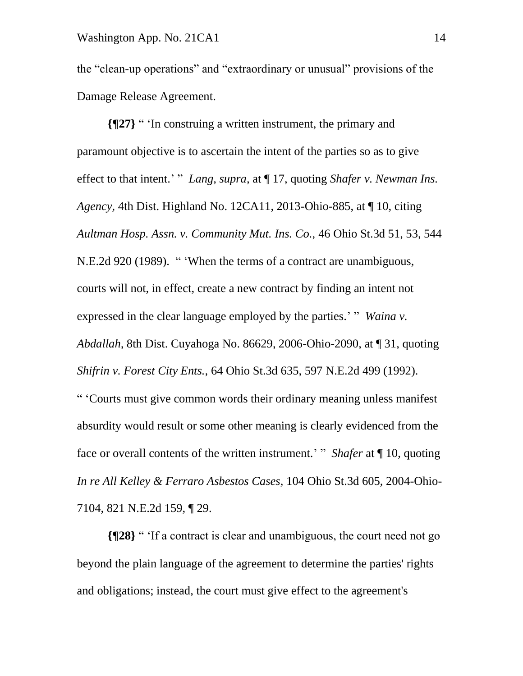the "clean-up operations" and "extraordinary or unusual" provisions of the Damage Release Agreement.

**{¶27}** " 'In construing a written instrument, the primary and paramount objective is to ascertain the intent of the parties so as to give effect to that intent.' " *Lang, supra,* at ¶ 17, quoting *Shafer v. Newman Ins. Agency,* 4th Dist. Highland No. 12CA11, 2013-Ohio-885, at ¶ 10, citing *Aultman Hosp. Assn. v. Community Mut. Ins. Co.,* 46 Ohio St.3d 51, 53, 544 N.E.2d 920 (1989). " 'When the terms of a contract are unambiguous, courts will not, in effect, create a new contract by finding an intent not expressed in the clear language employed by the parties.' "*Waina v. Abdallah,* 8th Dist. Cuyahoga No. 86629, 2006-Ohio-2090, at ¶ 31, quoting *Shifrin v. Forest City Ents.,* 64 Ohio St.3d 635, 597 N.E.2d 499 (1992). " 'Courts must give common words their ordinary meaning unless manifest absurdity would result or some other meaning is clearly evidenced from the face or overall contents of the written instrument.' " *Shafer* at ¶ 10, quoting *In re All Kelley & Ferraro Asbestos Cases*, 104 Ohio St.3d 605, 2004-Ohio-7104, 821 N.E.2d 159, ¶ 29.

**{¶28}** " 'If a contract is clear and unambiguous, the court need not go beyond the plain language of the agreement to determine the parties' rights and obligations; instead, the court must give effect to the agreement's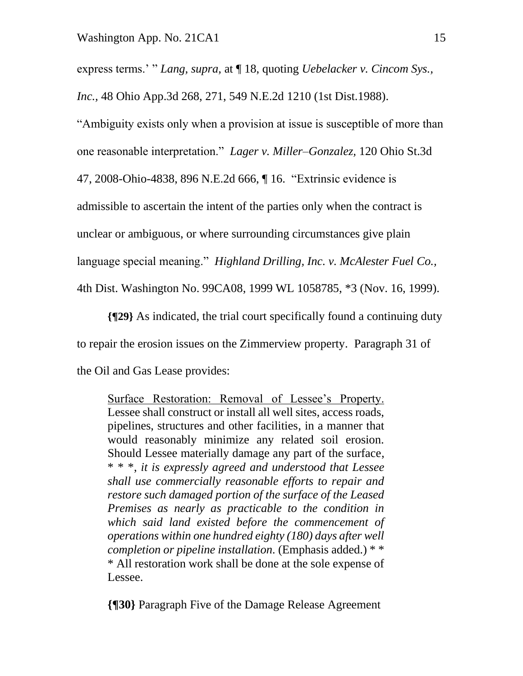express terms.' " *Lang, supra,* at ¶ 18, quoting *Uebelacker v. Cincom Sys.,* 

*Inc.,* 48 Ohio App.3d 268, 271, 549 N.E.2d 1210 (1st Dist.1988).

"Ambiguity exists only when a provision at issue is susceptible of more than

one reasonable interpretation." *Lager v. Miller–Gonzalez,* 120 Ohio St.3d

47, 2008-Ohio-4838, 896 N.E.2d 666, ¶ 16. "Extrinsic evidence is

admissible to ascertain the intent of the parties only when the contract is

unclear or ambiguous, or where surrounding circumstances give plain

language special meaning." *Highland Drilling, Inc. v. McAlester Fuel Co.,*

4th Dist. Washington No. 99CA08, 1999 WL 1058785, \*3 (Nov. 16, 1999).

**{¶29}** As indicated, the trial court specifically found a continuing duty to repair the erosion issues on the Zimmerview property. Paragraph 31 of the Oil and Gas Lease provides:

Surface Restoration: Removal of Lessee's Property. Lessee shall construct or install all well sites, access roads, pipelines, structures and other facilities, in a manner that would reasonably minimize any related soil erosion. Should Lessee materially damage any part of the surface, \* \* \*, *it is expressly agreed and understood that Lessee shall use commercially reasonable efforts to repair and restore such damaged portion of the surface of the Leased Premises as nearly as practicable to the condition in which said land existed before the commencement of operations within one hundred eighty (180) days after well completion or pipeline installation.* (Emphasis added.) \* \* \* All restoration work shall be done at the sole expense of Lessee.

**{¶30}** Paragraph Five of the Damage Release Agreement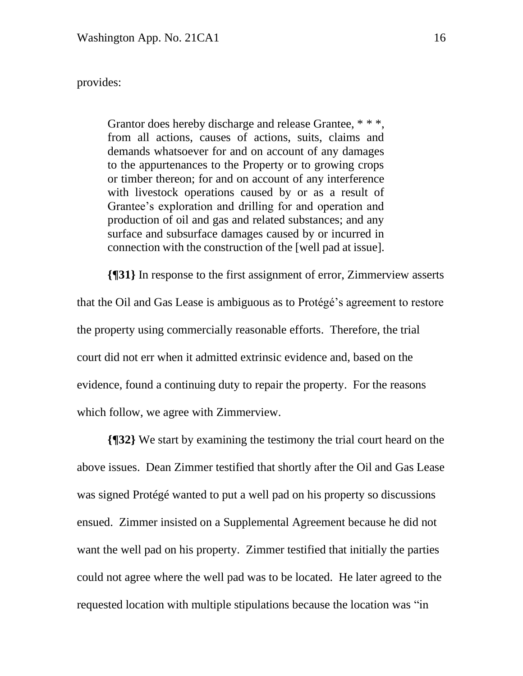### provides:

Grantor does hereby discharge and release Grantee, \* \* \*, from all actions, causes of actions, suits, claims and demands whatsoever for and on account of any damages to the appurtenances to the Property or to growing crops or timber thereon; for and on account of any interference with livestock operations caused by or as a result of Grantee's exploration and drilling for and operation and production of oil and gas and related substances; and any surface and subsurface damages caused by or incurred in connection with the construction of the [well pad at issue].

**{¶31}** In response to the first assignment of error, Zimmerview asserts that the Oil and Gas Lease is ambiguous as to Protégé's agreement to restore the property using commercially reasonable efforts. Therefore, the trial court did not err when it admitted extrinsic evidence and, based on the evidence, found a continuing duty to repair the property. For the reasons which follow, we agree with Zimmerview.

**{¶32}** We start by examining the testimony the trial court heard on the above issues. Dean Zimmer testified that shortly after the Oil and Gas Lease was signed Protégé wanted to put a well pad on his property so discussions ensued. Zimmer insisted on a Supplemental Agreement because he did not want the well pad on his property. Zimmer testified that initially the parties could not agree where the well pad was to be located. He later agreed to the requested location with multiple stipulations because the location was "in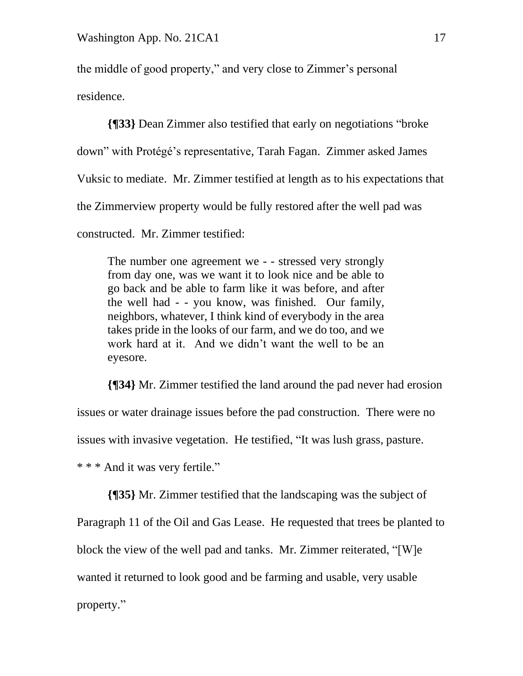the middle of good property," and very close to Zimmer's personal residence.

**{¶33}** Dean Zimmer also testified that early on negotiations "broke down" with Protégé's representative, Tarah Fagan. Zimmer asked James Vuksic to mediate. Mr. Zimmer testified at length as to his expectations that the Zimmerview property would be fully restored after the well pad was constructed. Mr. Zimmer testified:

The number one agreement we - - stressed very strongly from day one, was we want it to look nice and be able to go back and be able to farm like it was before, and after the well had - - you know, was finished. Our family, neighbors, whatever, I think kind of everybody in the area takes pride in the looks of our farm, and we do too, and we work hard at it. And we didn't want the well to be an eyesore.

**{¶34}** Mr. Zimmer testified the land around the pad never had erosion issues or water drainage issues before the pad construction. There were no issues with invasive vegetation. He testified, "It was lush grass, pasture. \* \* \* And it was very fertile."

**{¶35}** Mr. Zimmer testified that the landscaping was the subject of Paragraph 11 of the Oil and Gas Lease. He requested that trees be planted to block the view of the well pad and tanks. Mr. Zimmer reiterated, "[W]e wanted it returned to look good and be farming and usable, very usable property."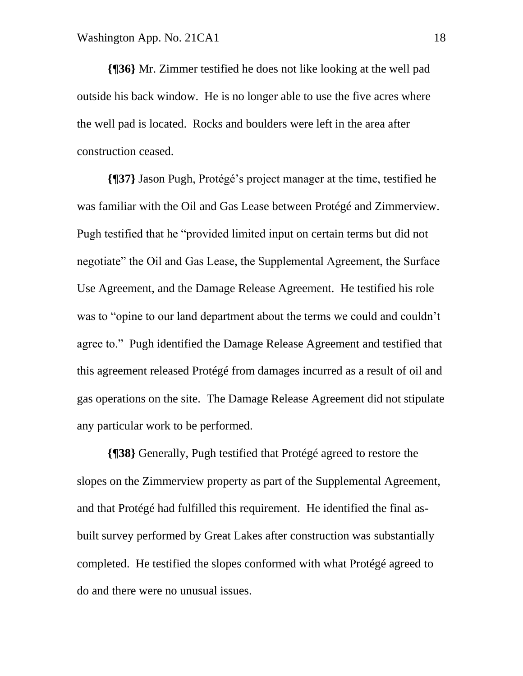**{¶36}** Mr. Zimmer testified he does not like looking at the well pad outside his back window. He is no longer able to use the five acres where the well pad is located. Rocks and boulders were left in the area after construction ceased.

**{¶37}** Jason Pugh, Protégé's project manager at the time, testified he was familiar with the Oil and Gas Lease between Protégé and Zimmerview. Pugh testified that he "provided limited input on certain terms but did not negotiate" the Oil and Gas Lease, the Supplemental Agreement, the Surface Use Agreement, and the Damage Release Agreement. He testified his role was to "opine to our land department about the terms we could and couldn't agree to." Pugh identified the Damage Release Agreement and testified that this agreement released Protégé from damages incurred as a result of oil and gas operations on the site. The Damage Release Agreement did not stipulate any particular work to be performed.

**{¶38}** Generally, Pugh testified that Protégé agreed to restore the slopes on the Zimmerview property as part of the Supplemental Agreement, and that Protégé had fulfilled this requirement. He identified the final asbuilt survey performed by Great Lakes after construction was substantially completed. He testified the slopes conformed with what Protégé agreed to do and there were no unusual issues.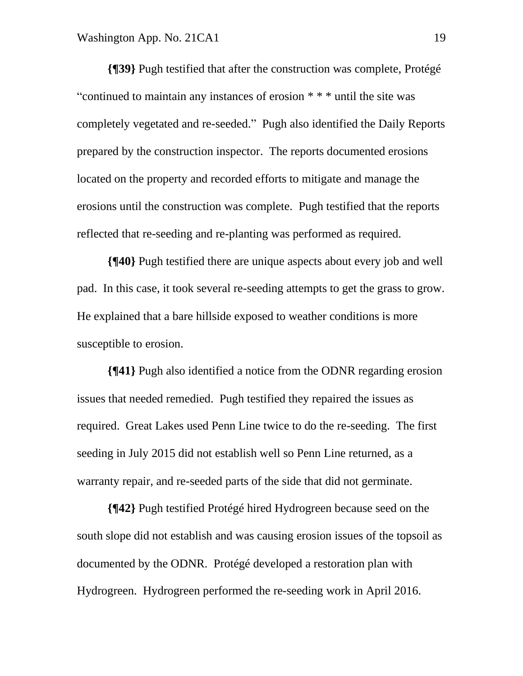**{¶39}** Pugh testified that after the construction was complete, Protégé "continued to maintain any instances of erosion \* \* \* until the site was completely vegetated and re-seeded." Pugh also identified the Daily Reports prepared by the construction inspector. The reports documented erosions located on the property and recorded efforts to mitigate and manage the erosions until the construction was complete. Pugh testified that the reports reflected that re-seeding and re-planting was performed as required.

**{¶40}** Pugh testified there are unique aspects about every job and well pad. In this case, it took several re-seeding attempts to get the grass to grow. He explained that a bare hillside exposed to weather conditions is more susceptible to erosion.

**{¶41}** Pugh also identified a notice from the ODNR regarding erosion issues that needed remedied. Pugh testified they repaired the issues as required. Great Lakes used Penn Line twice to do the re-seeding. The first seeding in July 2015 did not establish well so Penn Line returned, as a warranty repair, and re-seeded parts of the side that did not germinate.

**{¶42}** Pugh testified Protégé hired Hydrogreen because seed on the south slope did not establish and was causing erosion issues of the topsoil as documented by the ODNR. Protégé developed a restoration plan with Hydrogreen. Hydrogreen performed the re-seeding work in April 2016.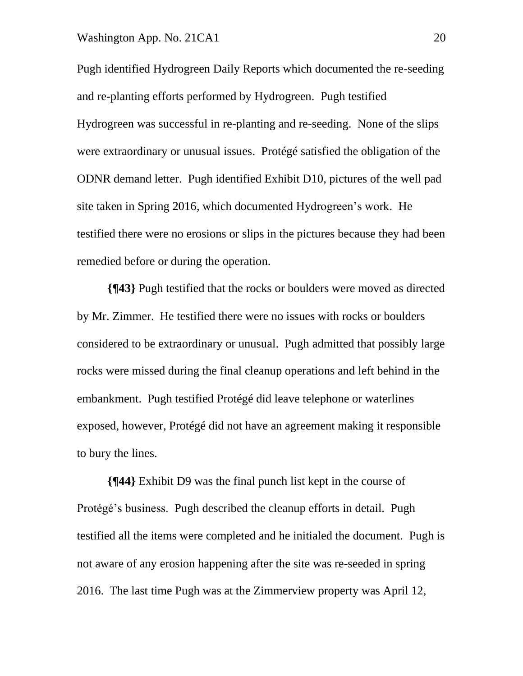#### Washington App. No. 21CA1 20

Pugh identified Hydrogreen Daily Reports which documented the re-seeding and re-planting efforts performed by Hydrogreen. Pugh testified Hydrogreen was successful in re-planting and re-seeding. None of the slips were extraordinary or unusual issues. Protégé satisfied the obligation of the ODNR demand letter. Pugh identified Exhibit D10, pictures of the well pad site taken in Spring 2016, which documented Hydrogreen's work. He testified there were no erosions or slips in the pictures because they had been remedied before or during the operation.

**{¶43}** Pugh testified that the rocks or boulders were moved as directed by Mr. Zimmer. He testified there were no issues with rocks or boulders considered to be extraordinary or unusual. Pugh admitted that possibly large rocks were missed during the final cleanup operations and left behind in the embankment. Pugh testified Protégé did leave telephone or waterlines exposed, however, Protégé did not have an agreement making it responsible to bury the lines.

**{¶44}** Exhibit D9 was the final punch list kept in the course of Protégé's business. Pugh described the cleanup efforts in detail. Pugh testified all the items were completed and he initialed the document. Pugh is not aware of any erosion happening after the site was re-seeded in spring 2016. The last time Pugh was at the Zimmerview property was April 12,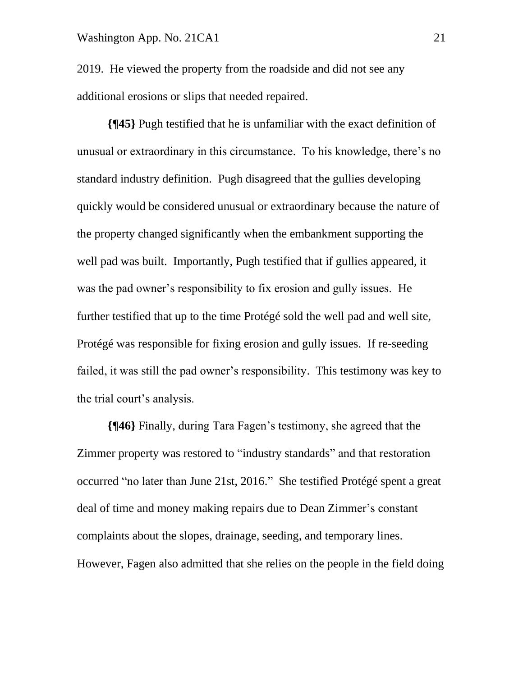2019. He viewed the property from the roadside and did not see any additional erosions or slips that needed repaired.

**{¶45}** Pugh testified that he is unfamiliar with the exact definition of unusual or extraordinary in this circumstance. To his knowledge, there's no standard industry definition. Pugh disagreed that the gullies developing quickly would be considered unusual or extraordinary because the nature of the property changed significantly when the embankment supporting the well pad was built. Importantly, Pugh testified that if gullies appeared, it was the pad owner's responsibility to fix erosion and gully issues. He further testified that up to the time Protégé sold the well pad and well site, Protégé was responsible for fixing erosion and gully issues. If re-seeding failed, it was still the pad owner's responsibility. This testimony was key to the trial court's analysis.

**{¶46}** Finally, during Tara Fagen's testimony, she agreed that the Zimmer property was restored to "industry standards" and that restoration occurred "no later than June 21st, 2016." She testified Protégé spent a great deal of time and money making repairs due to Dean Zimmer's constant complaints about the slopes, drainage, seeding, and temporary lines. However, Fagen also admitted that she relies on the people in the field doing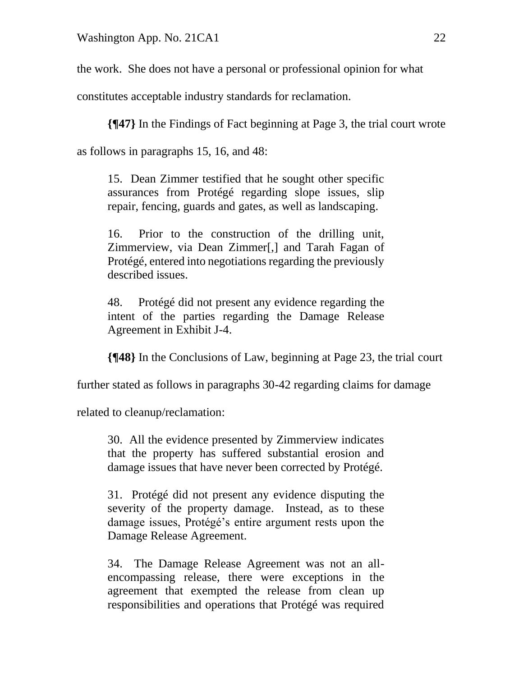the work. She does not have a personal or professional opinion for what

constitutes acceptable industry standards for reclamation.

**{¶47}** In the Findings of Fact beginning at Page 3, the trial court wrote

as follows in paragraphs 15, 16, and 48:

15. Dean Zimmer testified that he sought other specific assurances from Protégé regarding slope issues, slip repair, fencing, guards and gates, as well as landscaping.

16. Prior to the construction of the drilling unit, Zimmerview, via Dean Zimmer[,] and Tarah Fagan of Protégé, entered into negotiations regarding the previously described issues.

48. Protégé did not present any evidence regarding the intent of the parties regarding the Damage Release Agreement in Exhibit J-4.

**{¶48}** In the Conclusions of Law, beginning at Page 23, the trial court

further stated as follows in paragraphs 30-42 regarding claims for damage

related to cleanup/reclamation:

30. All the evidence presented by Zimmerview indicates that the property has suffered substantial erosion and damage issues that have never been corrected by Protégé.

31. Protégé did not present any evidence disputing the severity of the property damage. Instead, as to these damage issues, Protégé's entire argument rests upon the Damage Release Agreement.

34. The Damage Release Agreement was not an allencompassing release, there were exceptions in the agreement that exempted the release from clean up responsibilities and operations that Protégé was required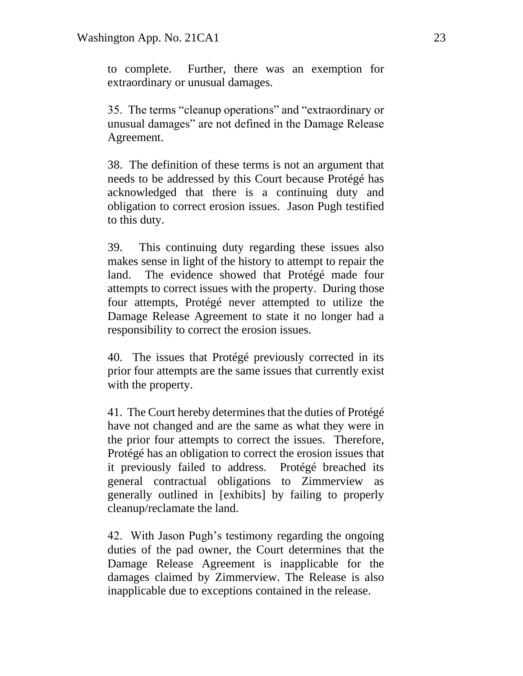to complete. Further, there was an exemption for extraordinary or unusual damages.

35. The terms "cleanup operations" and "extraordinary or unusual damages" are not defined in the Damage Release Agreement.

38. The definition of these terms is not an argument that needs to be addressed by this Court because Protégé has acknowledged that there is a continuing duty and obligation to correct erosion issues. Jason Pugh testified to this duty.

39. This continuing duty regarding these issues also makes sense in light of the history to attempt to repair the land. The evidence showed that Protégé made four attempts to correct issues with the property. During those four attempts, Protégé never attempted to utilize the Damage Release Agreement to state it no longer had a responsibility to correct the erosion issues.

40. The issues that Protégé previously corrected in its prior four attempts are the same issues that currently exist with the property.

41. The Court hereby determines that the duties of Protégé have not changed and are the same as what they were in the prior four attempts to correct the issues. Therefore, Protégé has an obligation to correct the erosion issues that it previously failed to address. Protégé breached its general contractual obligations to Zimmerview as generally outlined in [exhibits] by failing to properly cleanup/reclamate the land.

42. With Jason Pugh's testimony regarding the ongoing duties of the pad owner, the Court determines that the Damage Release Agreement is inapplicable for the damages claimed by Zimmerview. The Release is also inapplicable due to exceptions contained in the release.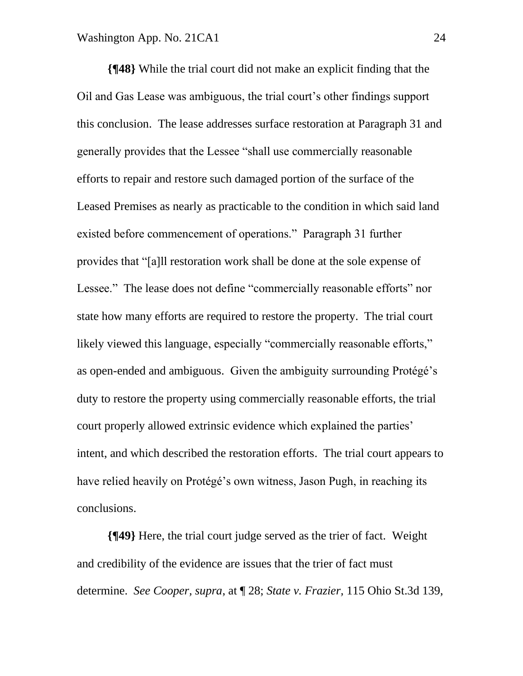**{¶48}** While the trial court did not make an explicit finding that the Oil and Gas Lease was ambiguous, the trial court's other findings support this conclusion. The lease addresses surface restoration at Paragraph 31 and generally provides that the Lessee "shall use commercially reasonable efforts to repair and restore such damaged portion of the surface of the Leased Premises as nearly as practicable to the condition in which said land existed before commencement of operations." Paragraph 31 further provides that "[a]ll restoration work shall be done at the sole expense of Lessee." The lease does not define "commercially reasonable efforts" nor state how many efforts are required to restore the property. The trial court likely viewed this language, especially "commercially reasonable efforts," as open-ended and ambiguous. Given the ambiguity surrounding Protégé's duty to restore the property using commercially reasonable efforts, the trial court properly allowed extrinsic evidence which explained the parties' intent, and which described the restoration efforts. The trial court appears to have relied heavily on Protégé's own witness, Jason Pugh, in reaching its conclusions.

**{¶49}** Here, the trial court judge served as the trier of fact. Weight and credibility of the evidence are issues that the trier of fact must determine. *See Cooper, supra*, at ¶ 28; *State v. Frazier,* 115 Ohio St.3d 139,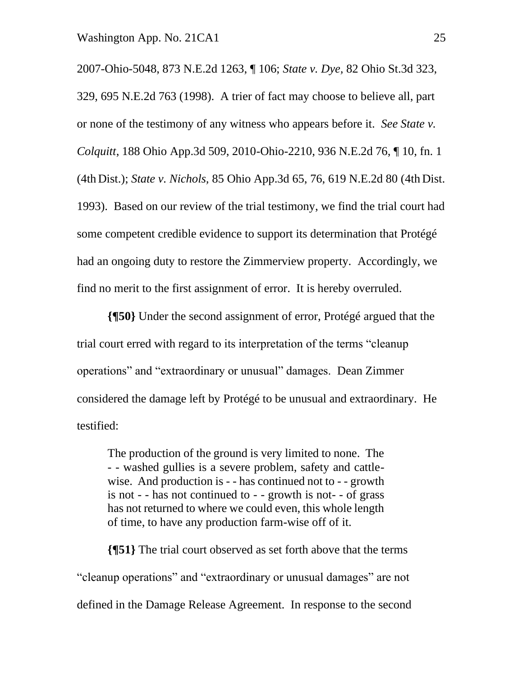2007-Ohio-5048, 873 N.E.2d 1263, ¶ 106; *State v. Dye,* 82 Ohio St.3d 323, 329, 695 N.E.2d 763 (1998). A trier of fact may choose to believe all, part or none of the testimony of any witness who appears before it. *See State v. Colquitt*, 188 Ohio App.3d 509, 2010-Ohio-2210, 936 N.E.2d 76, ¶ 10, fn. 1 (4th Dist.); *State v. Nichols,* 85 Ohio App.3d 65, 76, 619 N.E.2d 80 (4th Dist. 1993). Based on our review of the trial testimony, we find the trial court had some competent credible evidence to support its determination that Protégé had an ongoing duty to restore the Zimmerview property. Accordingly, we find no merit to the first assignment of error. It is hereby overruled.

**{¶50}** Under the second assignment of error, Protégé argued that the trial court erred with regard to its interpretation of the terms "cleanup operations" and "extraordinary or unusual" damages. Dean Zimmer considered the damage left by Protégé to be unusual and extraordinary. He testified:

The production of the ground is very limited to none. The - - washed gullies is a severe problem, safety and cattlewise. And production is - - has continued not to - - growth is not - - has not continued to - - growth is not- - of grass has not returned to where we could even, this whole length of time, to have any production farm-wise off of it.

**{¶51}** The trial court observed as set forth above that the terms "cleanup operations" and "extraordinary or unusual damages" are not defined in the Damage Release Agreement. In response to the second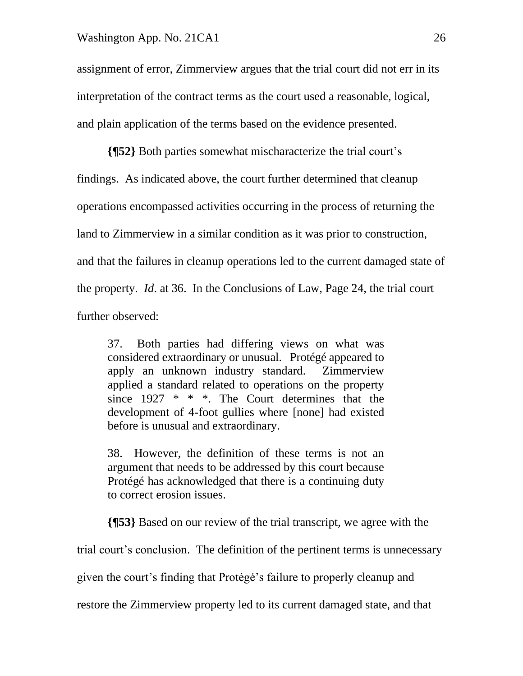assignment of error, Zimmerview argues that the trial court did not err in its interpretation of the contract terms as the court used a reasonable, logical, and plain application of the terms based on the evidence presented.

**{¶52}** Both parties somewhat mischaracterize the trial court's findings. As indicated above, the court further determined that cleanup operations encompassed activities occurring in the process of returning the land to Zimmerview in a similar condition as it was prior to construction, and that the failures in cleanup operations led to the current damaged state of the property. *Id*. at 36. In the Conclusions of Law, Page 24, the trial court further observed:

37. Both parties had differing views on what was considered extraordinary or unusual. Protégé appeared to apply an unknown industry standard. Zimmerview applied a standard related to operations on the property since 1927 \* \* \*. The Court determines that the development of 4-foot gullies where [none] had existed before is unusual and extraordinary.

38. However, the definition of these terms is not an argument that needs to be addressed by this court because Protégé has acknowledged that there is a continuing duty to correct erosion issues.

**{¶53}** Based on our review of the trial transcript, we agree with the

trial court's conclusion. The definition of the pertinent terms is unnecessary

given the court's finding that Protégé's failure to properly cleanup and

restore the Zimmerview property led to its current damaged state, and that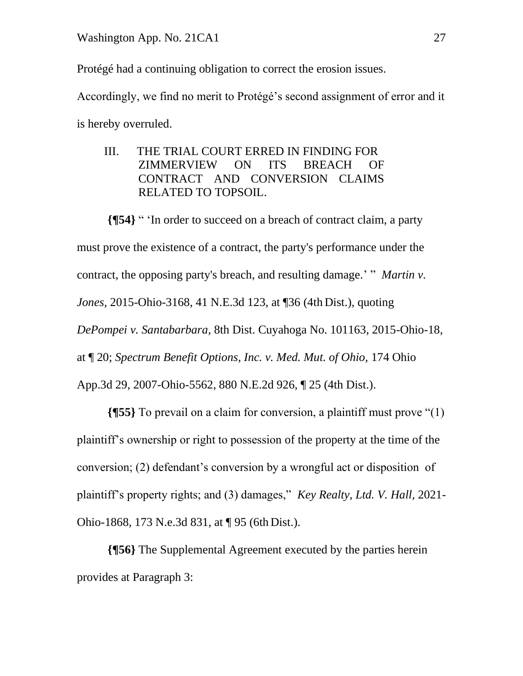Protégé had a continuing obligation to correct the erosion issues.

Accordingly, we find no merit to Protégé's second assignment of error and it is hereby overruled.

 III. THE TRIAL COURT ERRED IN FINDING FOR ZIMMERVIEW ON ITS BREACH OF CONTRACT AND CONVERSION CLAIMS RELATED TO TOPSOIL.

**{¶54}** " 'In order to succeed on a breach of contract claim, a party must prove the existence of a contract, the party's performance under the contract, the opposing party's breach, and resulting damage.' " *Martin v. Jones,* 2015-Ohio-3168, 41 N.E.3d 123, at ¶36 (4th Dist.), quoting *DePompei v. Santabarbara*, 8th Dist. Cuyahoga No. 101163, 2015-Ohio-18, at ¶ 20; *Spectrum Benefit Options, Inc. v. Med. Mut. of Ohio,* 174 Ohio App.3d 29, 2007-Ohio-5562, 880 N.E.2d 926, ¶ 25 (4th Dist.).

**{¶55}** To prevail on a claim for conversion, a plaintiff must prove "(1) plaintiff's ownership or right to possession of the property at the time of the conversion; (2) defendant's conversion by a wrongful act or disposition of plaintiff's property rights; and (3) damages," *Key Realty, Ltd. V. Hall,* 2021- Ohio-1868, 173 N.e.3d 831, at ¶ 95 (6th Dist.).

**{¶56}** The Supplemental Agreement executed by the parties herein provides at Paragraph 3: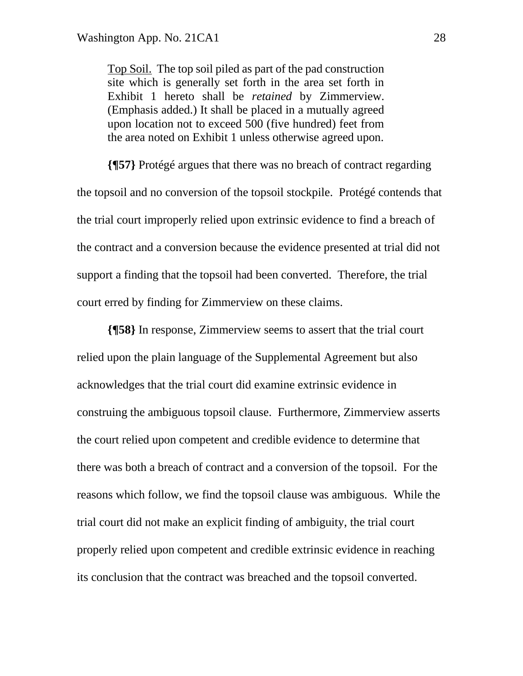Top Soil. The top soil piled as part of the pad construction site which is generally set forth in the area set forth in Exhibit 1 hereto shall be *retained* by Zimmerview. (Emphasis added.) It shall be placed in a mutually agreed upon location not to exceed 500 (five hundred) feet from the area noted on Exhibit 1 unless otherwise agreed upon.

**{¶57}** Protégé argues that there was no breach of contract regarding the topsoil and no conversion of the topsoil stockpile. Protégé contends that the trial court improperly relied upon extrinsic evidence to find a breach of the contract and a conversion because the evidence presented at trial did not support a finding that the topsoil had been converted. Therefore, the trial court erred by finding for Zimmerview on these claims.

**{¶58}** In response, Zimmerview seems to assert that the trial court relied upon the plain language of the Supplemental Agreement but also acknowledges that the trial court did examine extrinsic evidence in construing the ambiguous topsoil clause. Furthermore, Zimmerview asserts the court relied upon competent and credible evidence to determine that there was both a breach of contract and a conversion of the topsoil. For the reasons which follow, we find the topsoil clause was ambiguous. While the trial court did not make an explicit finding of ambiguity, the trial court properly relied upon competent and credible extrinsic evidence in reaching its conclusion that the contract was breached and the topsoil converted.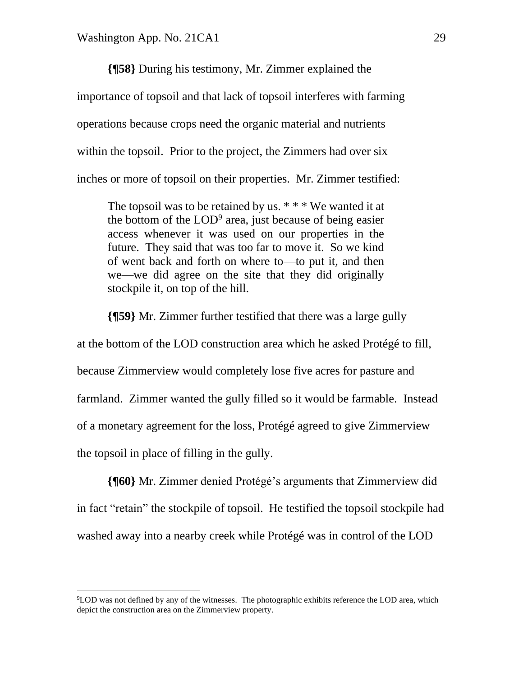**{¶58}** During his testimony, Mr. Zimmer explained the importance of topsoil and that lack of topsoil interferes with farming operations because crops need the organic material and nutrients within the topsoil. Prior to the project, the Zimmers had over six inches or more of topsoil on their properties. Mr. Zimmer testified:

The topsoil was to be retained by us.  $* * * W$ e wanted it at the bottom of the  $LOD<sup>9</sup>$  area, just because of being easier access whenever it was used on our properties in the future. They said that was too far to move it. So we kind of went back and forth on where to—to put it, and then we—we did agree on the site that they did originally stockpile it, on top of the hill.

**{¶59}** Mr. Zimmer further testified that there was a large gully at the bottom of the LOD construction area which he asked Protégé to fill, because Zimmerview would completely lose five acres for pasture and farmland. Zimmer wanted the gully filled so it would be farmable. Instead of a monetary agreement for the loss, Protégé agreed to give Zimmerview the topsoil in place of filling in the gully.

**{¶60}** Mr. Zimmer denied Protégé's arguments that Zimmerview did in fact "retain" the stockpile of topsoil. He testified the topsoil stockpile had washed away into a nearby creek while Protégé was in control of the LOD

 $9^9$ LOD was not defined by any of the witnesses. The photographic exhibits reference the LOD area, which depict the construction area on the Zimmerview property.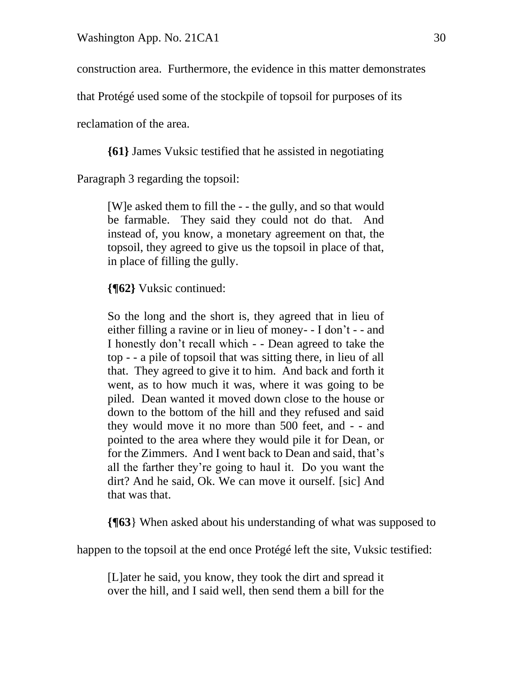construction area. Furthermore, the evidence in this matter demonstrates

that Protégé used some of the stockpile of topsoil for purposes of its

reclamation of the area.

**{61}** James Vuksic testified that he assisted in negotiating

Paragraph 3 regarding the topsoil:

[W]e asked them to fill the - - the gully, and so that would be farmable. They said they could not do that. And instead of, you know, a monetary agreement on that, the topsoil, they agreed to give us the topsoil in place of that, in place of filling the gully.

**{¶62}** Vuksic continued:

So the long and the short is, they agreed that in lieu of either filling a ravine or in lieu of money- - I don't - - and I honestly don't recall which - - Dean agreed to take the top - - a pile of topsoil that was sitting there, in lieu of all that. They agreed to give it to him. And back and forth it went, as to how much it was, where it was going to be piled. Dean wanted it moved down close to the house or down to the bottom of the hill and they refused and said they would move it no more than 500 feet, and - - and pointed to the area where they would pile it for Dean, or for the Zimmers. And I went back to Dean and said, that's all the farther they're going to haul it. Do you want the dirt? And he said, Ok. We can move it ourself. [sic] And that was that.

**{¶63**} When asked about his understanding of what was supposed to

happen to the topsoil at the end once Protégé left the site, Vuksic testified:

[L]ater he said, you know, they took the dirt and spread it over the hill, and I said well, then send them a bill for the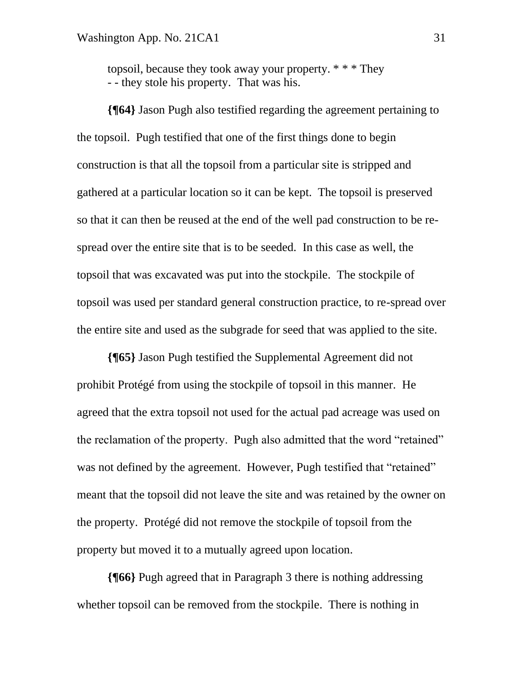topsoil, because they took away your property. \* \* \* They - - they stole his property. That was his.

**{¶64}** Jason Pugh also testified regarding the agreement pertaining to the topsoil. Pugh testified that one of the first things done to begin construction is that all the topsoil from a particular site is stripped and gathered at a particular location so it can be kept. The topsoil is preserved so that it can then be reused at the end of the well pad construction to be respread over the entire site that is to be seeded. In this case as well, the topsoil that was excavated was put into the stockpile. The stockpile of topsoil was used per standard general construction practice, to re-spread over the entire site and used as the subgrade for seed that was applied to the site.

**{¶65}** Jason Pugh testified the Supplemental Agreement did not prohibit Protégé from using the stockpile of topsoil in this manner. He agreed that the extra topsoil not used for the actual pad acreage was used on the reclamation of the property. Pugh also admitted that the word "retained" was not defined by the agreement. However, Pugh testified that "retained" meant that the topsoil did not leave the site and was retained by the owner on the property. Protégé did not remove the stockpile of topsoil from the property but moved it to a mutually agreed upon location.

**{¶66}** Pugh agreed that in Paragraph 3 there is nothing addressing whether topsoil can be removed from the stockpile. There is nothing in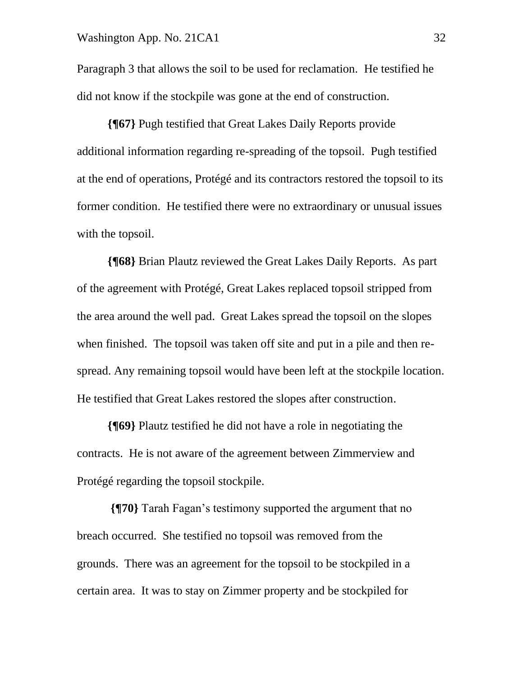Paragraph 3 that allows the soil to be used for reclamation. He testified he did not know if the stockpile was gone at the end of construction.

**{¶67}** Pugh testified that Great Lakes Daily Reports provide additional information regarding re-spreading of the topsoil. Pugh testified at the end of operations, Protégé and its contractors restored the topsoil to its former condition. He testified there were no extraordinary or unusual issues with the topsoil.

**{¶68}** Brian Plautz reviewed the Great Lakes Daily Reports. As part of the agreement with Protégé, Great Lakes replaced topsoil stripped from the area around the well pad. Great Lakes spread the topsoil on the slopes when finished. The topsoil was taken off site and put in a pile and then respread. Any remaining topsoil would have been left at the stockpile location. He testified that Great Lakes restored the slopes after construction.

**{¶69}** Plautz testified he did not have a role in negotiating the contracts. He is not aware of the agreement between Zimmerview and Protégé regarding the topsoil stockpile.

**{¶70}** Tarah Fagan's testimony supported the argument that no breach occurred. She testified no topsoil was removed from the grounds. There was an agreement for the topsoil to be stockpiled in a certain area. It was to stay on Zimmer property and be stockpiled for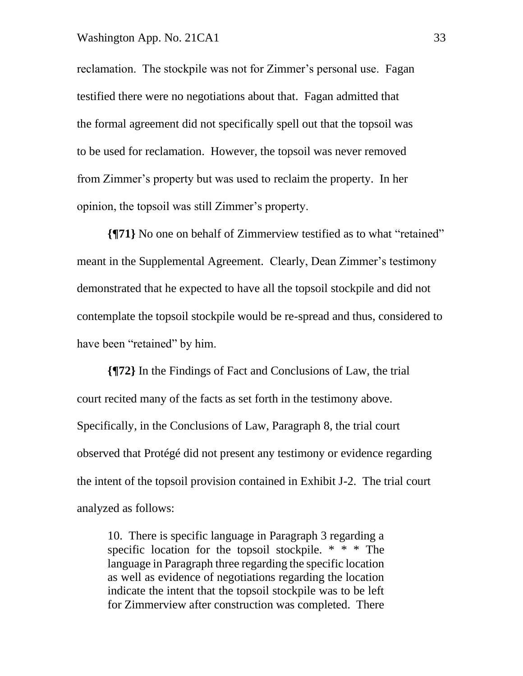#### Washington App. No. 21CA1 33

reclamation. The stockpile was not for Zimmer's personal use. Fagan testified there were no negotiations about that. Fagan admitted that the formal agreement did not specifically spell out that the topsoil was to be used for reclamation. However, the topsoil was never removed from Zimmer's property but was used to reclaim the property. In her opinion, the topsoil was still Zimmer's property.

**{¶71}** No one on behalf of Zimmerview testified as to what "retained" meant in the Supplemental Agreement. Clearly, Dean Zimmer's testimony demonstrated that he expected to have all the topsoil stockpile and did not contemplate the topsoil stockpile would be re-spread and thus, considered to have been "retained" by him.

**{¶72}** In the Findings of Fact and Conclusions of Law, the trial court recited many of the facts as set forth in the testimony above. Specifically, in the Conclusions of Law, Paragraph 8, the trial court observed that Protégé did not present any testimony or evidence regarding the intent of the topsoil provision contained in Exhibit J-2. The trial court analyzed as follows:

10. There is specific language in Paragraph 3 regarding a specific location for the topsoil stockpile. \* \* \* The language in Paragraph three regarding the specific location as well as evidence of negotiations regarding the location indicate the intent that the topsoil stockpile was to be left for Zimmerview after construction was completed. There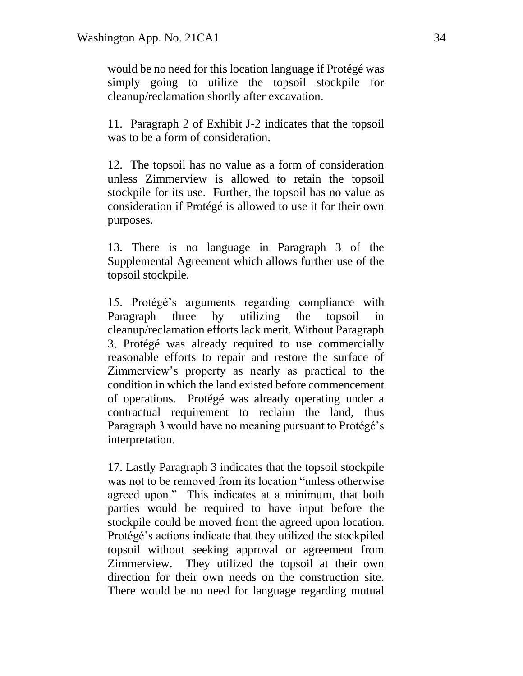would be no need for this location language if Protégé was simply going to utilize the topsoil stockpile for cleanup/reclamation shortly after excavation.

11. Paragraph 2 of Exhibit J-2 indicates that the topsoil was to be a form of consideration.

12. The topsoil has no value as a form of consideration unless Zimmerview is allowed to retain the topsoil stockpile for its use. Further, the topsoil has no value as consideration if Protégé is allowed to use it for their own purposes.

13. There is no language in Paragraph 3 of the Supplemental Agreement which allows further use of the topsoil stockpile.

15. Protégé's arguments regarding compliance with Paragraph three by utilizing the topsoil in cleanup/reclamation efforts lack merit. Without Paragraph 3, Protégé was already required to use commercially reasonable efforts to repair and restore the surface of Zimmerview's property as nearly as practical to the condition in which the land existed before commencement of operations. Protégé was already operating under a contractual requirement to reclaim the land, thus Paragraph 3 would have no meaning pursuant to Protégé's interpretation.

17. Lastly Paragraph 3 indicates that the topsoil stockpile was not to be removed from its location "unless otherwise agreed upon." This indicates at a minimum, that both parties would be required to have input before the stockpile could be moved from the agreed upon location. Protégé's actions indicate that they utilized the stockpiled topsoil without seeking approval or agreement from Zimmerview. They utilized the topsoil at their own direction for their own needs on the construction site. There would be no need for language regarding mutual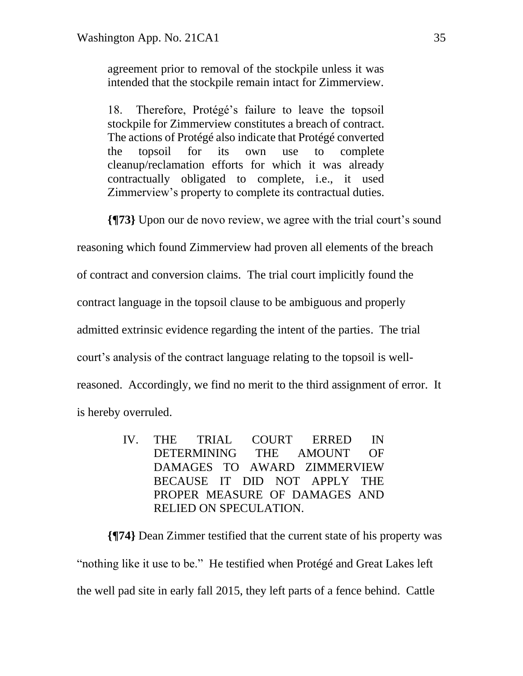agreement prior to removal of the stockpile unless it was intended that the stockpile remain intact for Zimmerview.

18. Therefore, Protégé's failure to leave the topsoil stockpile for Zimmerview constitutes a breach of contract. The actions of Protégé also indicate that Protégé converted the topsoil for its own use to complete cleanup/reclamation efforts for which it was already contractually obligated to complete, i.e., it used Zimmerview's property to complete its contractual duties.

**{¶73}** Upon our de novo review, we agree with the trial court's sound

reasoning which found Zimmerview had proven all elements of the breach

of contract and conversion claims. The trial court implicitly found the

contract language in the topsoil clause to be ambiguous and properly

admitted extrinsic evidence regarding the intent of the parties. The trial

court's analysis of the contract language relating to the topsoil is well-

reasoned. Accordingly, we find no merit to the third assignment of error. It

is hereby overruled.

IV. THE TRIAL COURT ERRED IN DETERMINING THE AMOUNT OF DAMAGES TO AWARD ZIMMERVIEW BECAUSE IT DID NOT APPLY THE PROPER MEASURE OF DAMAGES AND RELIED ON SPECULATION.

**{¶74}** Dean Zimmer testified that the current state of his property was "nothing like it use to be." He testified when Protégé and Great Lakes left the well pad site in early fall 2015, they left parts of a fence behind. Cattle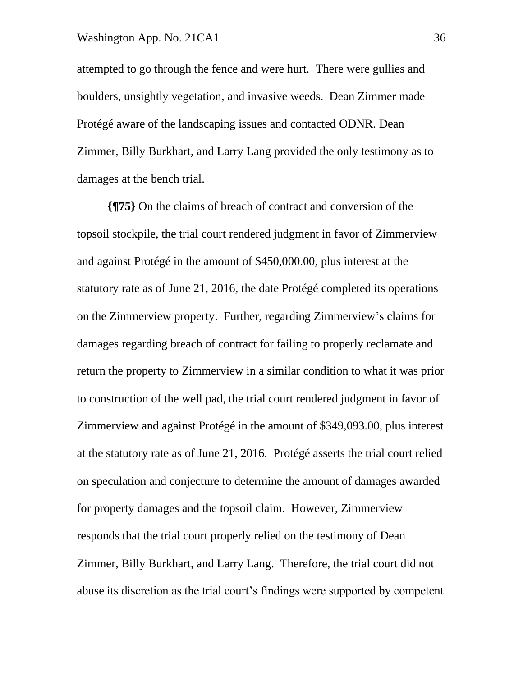attempted to go through the fence and were hurt. There were gullies and boulders, unsightly vegetation, and invasive weeds. Dean Zimmer made Protégé aware of the landscaping issues and contacted ODNR. Dean Zimmer, Billy Burkhart, and Larry Lang provided the only testimony as to damages at the bench trial.

**{¶75}** On the claims of breach of contract and conversion of the topsoil stockpile, the trial court rendered judgment in favor of Zimmerview and against Protégé in the amount of \$450,000.00, plus interest at the statutory rate as of June 21, 2016, the date Protégé completed its operations on the Zimmerview property. Further, regarding Zimmerview's claims for damages regarding breach of contract for failing to properly reclamate and return the property to Zimmerview in a similar condition to what it was prior to construction of the well pad, the trial court rendered judgment in favor of Zimmerview and against Protégé in the amount of \$349,093.00, plus interest at the statutory rate as of June 21, 2016. Protégé asserts the trial court relied on speculation and conjecture to determine the amount of damages awarded for property damages and the topsoil claim. However, Zimmerview responds that the trial court properly relied on the testimony of Dean Zimmer, Billy Burkhart, and Larry Lang. Therefore, the trial court did not abuse its discretion as the trial court's findings were supported by competent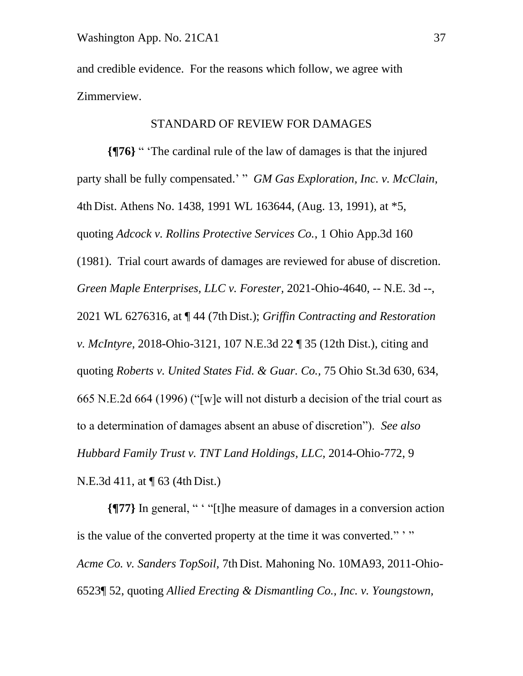and credible evidence. For the reasons which follow, we agree with Zimmerview.

#### STANDARD OF REVIEW FOR DAMAGES

**{¶76}** " 'The cardinal rule of the law of damages is that the injured party shall be fully compensated.' " *GM Gas Exploration, Inc. v. McClain,*  4th Dist. Athens No. 1438, 1991 WL 163644, (Aug. 13, 1991), at \*5, quoting *Adcock v. Rollins Protective Services Co.*, 1 Ohio App.3d 160 (1981). Trial court awards of damages are reviewed for abuse of discretion. *Green Maple Enterprises, LLC v. Forester,* 2021-Ohio-4640, -- N.E. 3d --, 2021 WL 6276316, at ¶ 44 (7th Dist.); *Griffin Contracting and Restoration v. McIntyre,* 2018-Ohio-3121, 107 N.E.3d 22 ¶ 35 (12th Dist.), citing and quoting *Roberts v. United States Fid. & Guar. Co.,* 75 Ohio St.3d 630, 634, 665 N.E.2d 664 (1996) ("[w]e will not disturb a decision of the trial court as to a determination of damages absent an abuse of discretion"). *See also Hubbard Family Trust v. TNT Land Holdings, LLC,* 2014-Ohio-772, 9 N.E.3d 411, at ¶ 63 (4th Dist.)

**{¶77}** In general, " ' "[t]he measure of damages in a conversion action is the value of the converted property at the time it was converted."" *Acme Co. v. Sanders TopSoil,* 7th Dist. Mahoning No. 10MA93, 2011-Ohio-6523¶ 52, quoting *Allied Erecting & Dismantling Co., Inc. v. Youngstown,*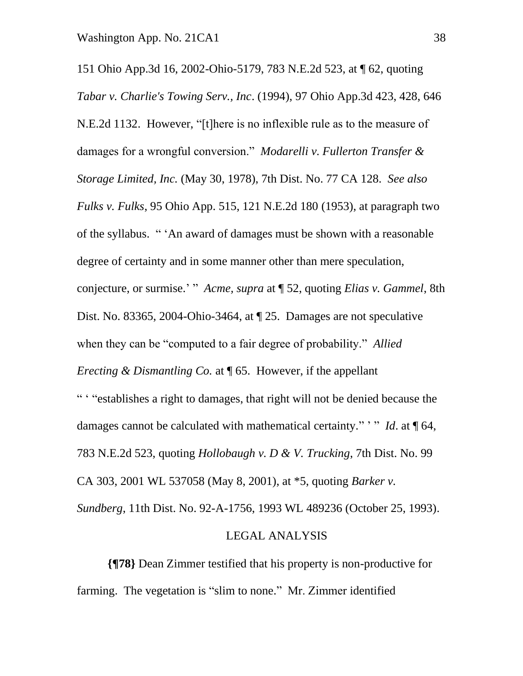151 Ohio App.3d 16, 2002-Ohio-5179, 783 N.E.2d 523, at ¶ 62, quoting *Tabar v. Charlie's Towing Serv., Inc*. (1994), 97 Ohio App.3d 423, 428, 646 N.E.2d 1132. However, "[t]here is no inflexible rule as to the measure of damages for a wrongful conversion." *Modarelli v. Fullerton Transfer & Storage Limited, Inc.* (May 30, 1978), 7th Dist. No. 77 CA 128. *See also Fulks v. Fulks*, 95 Ohio App. 515, 121 N.E.2d 180 (1953), at paragraph two of the syllabus. " 'An award of damages must be shown with a reasonable degree of certainty and in some manner other than mere speculation, conjecture, or surmise.' " *Acme, supra* at ¶ 52, quoting *Elias v. Gammel*, 8th Dist. No. 83365, 2004-Ohio-3464, at ¶ 25. Damages are not speculative when they can be "computed to a fair degree of probability." *Allied Erecting & Dismantling Co.* at ¶ 65. However, if the appellant " ' "establishes a right to damages, that right will not be denied because the damages cannot be calculated with mathematical certainty." " *Id.* at 164, 783 N.E.2d 523, quoting *Hollobaugh v. D & V. Trucking*, 7th Dist. No. 99 CA 303, 2001 WL 537058 (May 8, 2001), at \*5, quoting *Barker v. Sundberg*, 11th Dist. No. 92-A-1756, 1993 WL 489236 (October 25, 1993).

#### LEGAL ANALYSIS

**{¶78}** Dean Zimmer testified that his property is non-productive for farming. The vegetation is "slim to none." Mr. Zimmer identified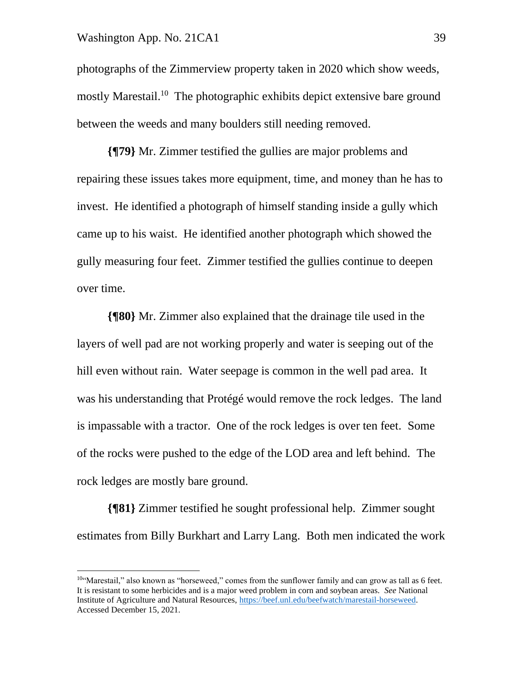#### Washington App. No. 21CA1 39

photographs of the Zimmerview property taken in 2020 which show weeds, mostly Marestail.<sup>10</sup> The photographic exhibits depict extensive bare ground between the weeds and many boulders still needing removed.

**{¶79}** Mr. Zimmer testified the gullies are major problems and repairing these issues takes more equipment, time, and money than he has to invest. He identified a photograph of himself standing inside a gully which came up to his waist. He identified another photograph which showed the gully measuring four feet. Zimmer testified the gullies continue to deepen over time.

**{¶80}** Mr. Zimmer also explained that the drainage tile used in the layers of well pad are not working properly and water is seeping out of the hill even without rain. Water seepage is common in the well pad area. It was his understanding that Protégé would remove the rock ledges. The land is impassable with a tractor. One of the rock ledges is over ten feet. Some of the rocks were pushed to the edge of the LOD area and left behind. The rock ledges are mostly bare ground.

**{¶81}** Zimmer testified he sought professional help. Zimmer sought estimates from Billy Burkhart and Larry Lang. Both men indicated the work

 $10$ "Marestail," also known as "horseweed," comes from the sunflower family and can grow as tall as 6 feet. It is resistant to some herbicides and is a major weed problem in corn and soybean areas. *See* National Institute of Agriculture and Natural Resources, [https://beef.unl.edu/beefwatch/marestail-horseweed.](https://beef.unl.edu/beefwatch/marestail-horseweed) Accessed December 15, 2021.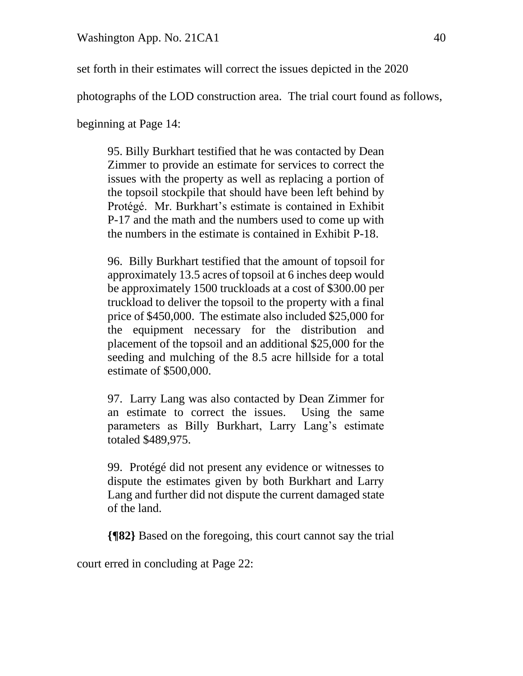set forth in their estimates will correct the issues depicted in the 2020

photographs of the LOD construction area. The trial court found as follows,

beginning at Page 14:

95. Billy Burkhart testified that he was contacted by Dean Zimmer to provide an estimate for services to correct the issues with the property as well as replacing a portion of the topsoil stockpile that should have been left behind by Protégé. Mr. Burkhart's estimate is contained in Exhibit P-17 and the math and the numbers used to come up with the numbers in the estimate is contained in Exhibit P-18.

96. Billy Burkhart testified that the amount of topsoil for approximately 13.5 acres of topsoil at 6 inches deep would be approximately 1500 truckloads at a cost of \$300.00 per truckload to deliver the topsoil to the property with a final price of \$450,000. The estimate also included \$25,000 for the equipment necessary for the distribution and placement of the topsoil and an additional \$25,000 for the seeding and mulching of the 8.5 acre hillside for a total estimate of \$500,000.

97. Larry Lang was also contacted by Dean Zimmer for an estimate to correct the issues. Using the same parameters as Billy Burkhart, Larry Lang's estimate totaled \$489,975.

99. Protégé did not present any evidence or witnesses to dispute the estimates given by both Burkhart and Larry Lang and further did not dispute the current damaged state of the land.

**{¶82}** Based on the foregoing, this court cannot say the trial

court erred in concluding at Page 22: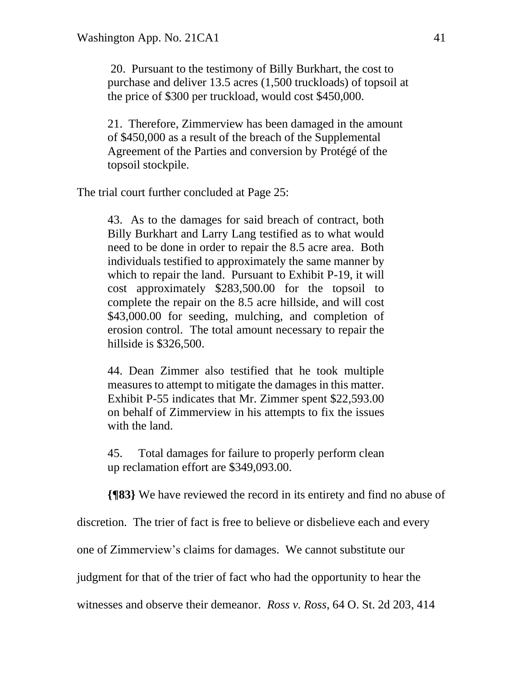20. Pursuant to the testimony of Billy Burkhart, the cost to purchase and deliver 13.5 acres (1,500 truckloads) of topsoil at the price of \$300 per truckload, would cost \$450,000.

21. Therefore, Zimmerview has been damaged in the amount of \$450,000 as a result of the breach of the Supplemental Agreement of the Parties and conversion by Protégé of the topsoil stockpile.

The trial court further concluded at Page 25:

43. As to the damages for said breach of contract, both Billy Burkhart and Larry Lang testified as to what would need to be done in order to repair the 8.5 acre area. Both individuals testified to approximately the same manner by which to repair the land. Pursuant to Exhibit P-19, it will cost approximately \$283,500.00 for the topsoil to complete the repair on the 8.5 acre hillside, and will cost \$43,000.00 for seeding, mulching, and completion of erosion control. The total amount necessary to repair the hillside is \$326,500.

44. Dean Zimmer also testified that he took multiple measures to attempt to mitigate the damages in this matter. Exhibit P-55 indicates that Mr. Zimmer spent \$22,593.00 on behalf of Zimmerview in his attempts to fix the issues with the land.

45. Total damages for failure to properly perform clean up reclamation effort are \$349,093.00.

**{¶83}** We have reviewed the record in its entirety and find no abuse of

discretion. The trier of fact is free to believe or disbelieve each and every

one of Zimmerview's claims for damages. We cannot substitute our

judgment for that of the trier of fact who had the opportunity to hear the

witnesses and observe their demeanor. *Ross v. Ross*, 64 O. St. 2d 203, 414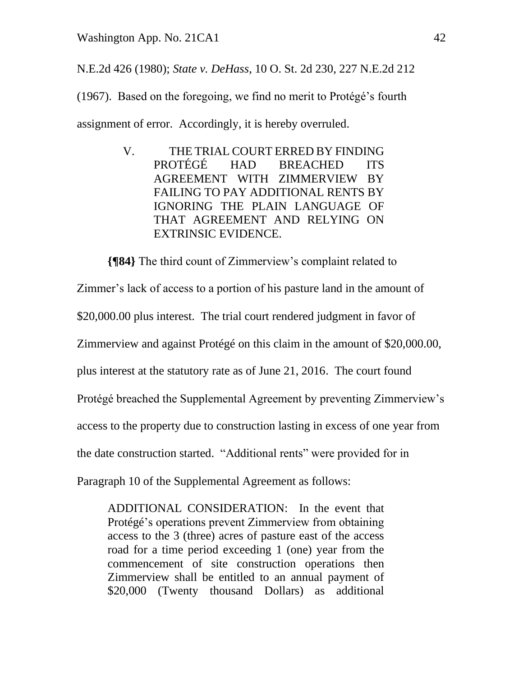N.E.2d 426 (1980); *State v. DeHass*, 10 O. St. 2d 230, 227 N.E.2d 212

(1967). Based on the foregoing, we find no merit to Protégé's fourth assignment of error. Accordingly, it is hereby overruled.

> V. THE TRIAL COURT ERRED BY FINDING PROTÉGÉ HAD BREACHED ITS AGREEMENT WITH ZIMMERVIEW BY FAILING TO PAY ADDITIONAL RENTS BY IGNORING THE PLAIN LANGUAGE OF THAT AGREEMENT AND RELYING ON EXTRINSIC EVIDENCE.

**{¶84}** The third count of Zimmerview's complaint related to

Zimmer's lack of access to a portion of his pasture land in the amount of \$20,000.00 plus interest. The trial court rendered judgment in favor of Zimmerview and against Protégé on this claim in the amount of \$20,000.00, plus interest at the statutory rate as of June 21, 2016. The court found Protégé breached the Supplemental Agreement by preventing Zimmerview's access to the property due to construction lasting in excess of one year from the date construction started. "Additional rents" were provided for in Paragraph 10 of the Supplemental Agreement as follows:

ADDITIONAL CONSIDERATION: In the event that Protégé's operations prevent Zimmerview from obtaining access to the 3 (three) acres of pasture east of the access road for a time period exceeding 1 (one) year from the commencement of site construction operations then Zimmerview shall be entitled to an annual payment of \$20,000 (Twenty thousand Dollars) as additional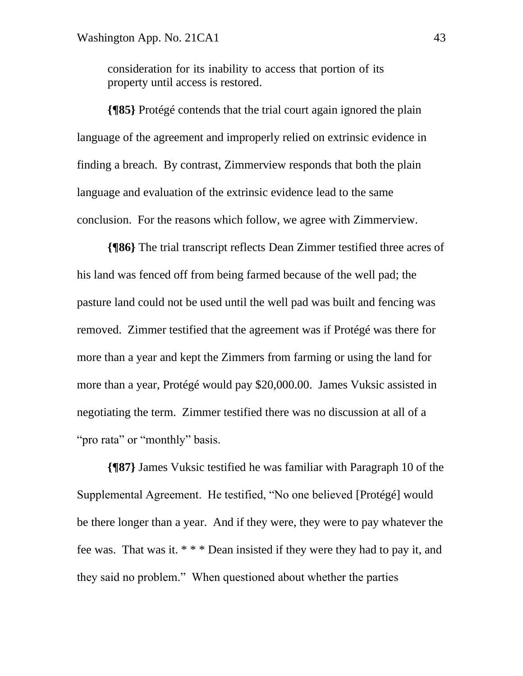consideration for its inability to access that portion of its property until access is restored.

**{¶85}** Protégé contends that the trial court again ignored the plain language of the agreement and improperly relied on extrinsic evidence in finding a breach. By contrast, Zimmerview responds that both the plain language and evaluation of the extrinsic evidence lead to the same conclusion. For the reasons which follow, we agree with Zimmerview.

**{¶86}** The trial transcript reflects Dean Zimmer testified three acres of his land was fenced off from being farmed because of the well pad; the pasture land could not be used until the well pad was built and fencing was removed. Zimmer testified that the agreement was if Protégé was there for more than a year and kept the Zimmers from farming or using the land for more than a year, Protégé would pay \$20,000.00. James Vuksic assisted in negotiating the term. Zimmer testified there was no discussion at all of a "pro rata" or "monthly" basis.

**{¶87}** James Vuksic testified he was familiar with Paragraph 10 of the Supplemental Agreement. He testified, "No one believed [Protégé] would be there longer than a year. And if they were, they were to pay whatever the fee was. That was it. \* \* \* Dean insisted if they were they had to pay it, and they said no problem." When questioned about whether the parties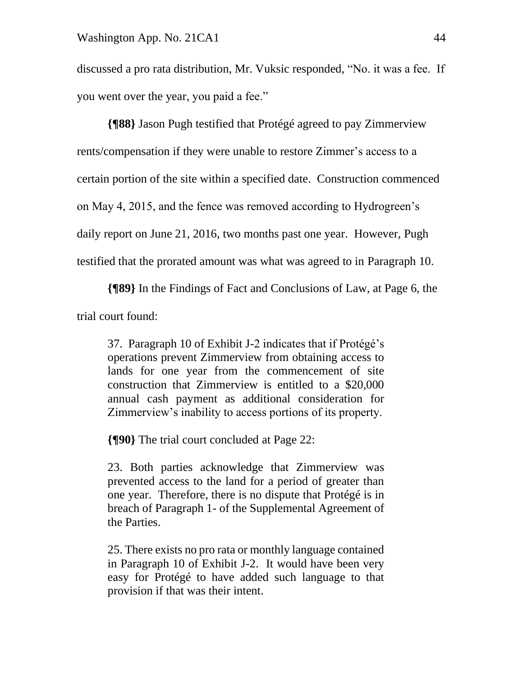discussed a pro rata distribution, Mr. Vuksic responded, "No. it was a fee. If you went over the year, you paid a fee."

**{¶88}** Jason Pugh testified that Protégé agreed to pay Zimmerview rents/compensation if they were unable to restore Zimmer's access to a certain portion of the site within a specified date. Construction commenced on May 4, 2015, and the fence was removed according to Hydrogreen's daily report on June 21, 2016, two months past one year. However, Pugh testified that the prorated amount was what was agreed to in Paragraph 10.

**{¶89}** In the Findings of Fact and Conclusions of Law, at Page 6, the trial court found:

37. Paragraph 10 of Exhibit J-2 indicates that if Protégé's operations prevent Zimmerview from obtaining access to lands for one year from the commencement of site construction that Zimmerview is entitled to a \$20,000 annual cash payment as additional consideration for Zimmerview's inability to access portions of its property.

**{¶90}** The trial court concluded at Page 22:

23. Both parties acknowledge that Zimmerview was prevented access to the land for a period of greater than one year. Therefore, there is no dispute that Protégé is in breach of Paragraph 1- of the Supplemental Agreement of the Parties.

25. There exists no pro rata or monthly language contained in Paragraph 10 of Exhibit J-2. It would have been very easy for Protégé to have added such language to that provision if that was their intent.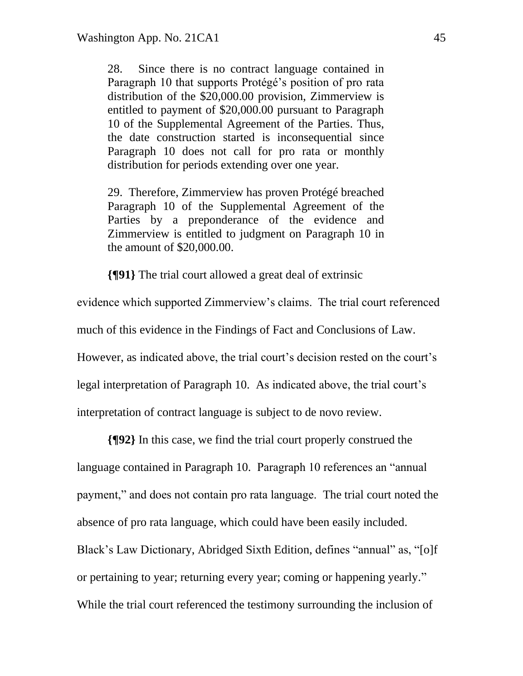28. Since there is no contract language contained in Paragraph 10 that supports Protégé's position of pro rata distribution of the \$20,000.00 provision, Zimmerview is entitled to payment of \$20,000.00 pursuant to Paragraph 10 of the Supplemental Agreement of the Parties. Thus, the date construction started is inconsequential since Paragraph 10 does not call for pro rata or monthly distribution for periods extending over one year.

29. Therefore, Zimmerview has proven Protégé breached Paragraph 10 of the Supplemental Agreement of the Parties by a preponderance of the evidence and Zimmerview is entitled to judgment on Paragraph 10 in the amount of \$20,000.00.

**{¶91}** The trial court allowed a great deal of extrinsic

evidence which supported Zimmerview's claims. The trial court referenced much of this evidence in the Findings of Fact and Conclusions of Law. However, as indicated above, the trial court's decision rested on the court's legal interpretation of Paragraph 10. As indicated above, the trial court's interpretation of contract language is subject to de novo review.

**{¶92}** In this case, we find the trial court properly construed the language contained in Paragraph 10. Paragraph 10 references an "annual payment," and does not contain pro rata language.The trial court noted the absence of pro rata language, which could have been easily included. Black's Law Dictionary, Abridged Sixth Edition, defines "annual" as, "[o]f or pertaining to year; returning every year; coming or happening yearly." While the trial court referenced the testimony surrounding the inclusion of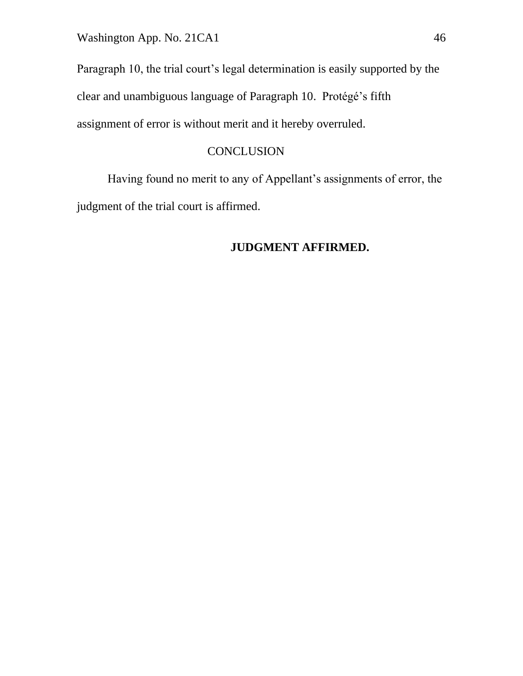Paragraph 10, the trial court's legal determination is easily supported by the clear and unambiguous language of Paragraph 10. Protégé's fifth assignment of error is without merit and it hereby overruled.

## **CONCLUSION**

Having found no merit to any of Appellant's assignments of error, the judgment of the trial court is affirmed.

# **JUDGMENT AFFIRMED.**